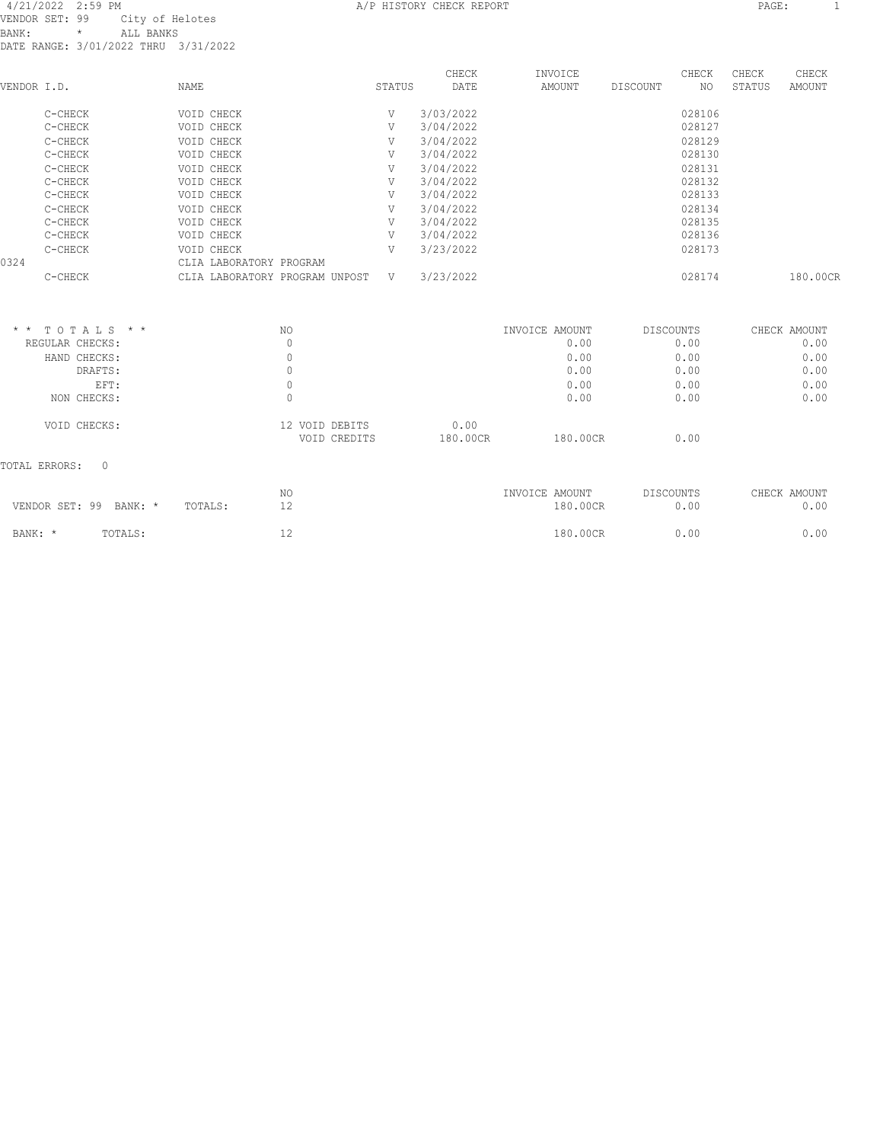#### 4/21/2022 2:59 PM A/P HISTORY CHECK REPORT PAGE: 1 VENDOR SET: 99 City of Helotes BANK: \* ALL BANKS DATE RANGE: 3/01/2022 THRU 3/31/2022

TOTAL ERRORS: 0

| VENDOR I.D.     |                 | <b>NAME</b>                    | STATUS | CHECK<br>DATE | INVOICE<br>AMOUNT | DISCOUNT         | CHECK<br>NO. | CHECK<br>STATUS | CHECK<br>AMOUNT |
|-----------------|-----------------|--------------------------------|--------|---------------|-------------------|------------------|--------------|-----------------|-----------------|
|                 | C-CHECK         | VOID CHECK                     | V      | 3/03/2022     |                   |                  | 028106       |                 |                 |
|                 | C-CHECK         | VOID CHECK                     | V      | 3/04/2022     |                   |                  | 028127       |                 |                 |
|                 | C-CHECK         | VOID CHECK                     | V      | 3/04/2022     |                   |                  | 028129       |                 |                 |
|                 | C-CHECK         | VOID CHECK                     | V      | 3/04/2022     |                   |                  | 028130       |                 |                 |
|                 | C-CHECK         | VOID CHECK                     | V      | 3/04/2022     |                   |                  | 028131       |                 |                 |
|                 | C-CHECK         | VOID CHECK                     | V      | 3/04/2022     |                   |                  | 028132       |                 |                 |
|                 | C-CHECK         | VOID CHECK                     | V      | 3/04/2022     |                   |                  | 028133       |                 |                 |
|                 | C-CHECK         | VOID CHECK                     | V      | 3/04/2022     |                   |                  | 028134       |                 |                 |
|                 | C-CHECK         | VOID CHECK                     | V      | 3/04/2022     |                   |                  | 028135       |                 |                 |
|                 | C-CHECK         | VOID CHECK                     | V      | 3/04/2022     |                   |                  | 028136       |                 |                 |
|                 | C-CHECK         | VOID CHECK                     | V      | 3/23/2022     |                   |                  | 028173       |                 |                 |
| 0324            |                 | CLIA LABORATORY PROGRAM        |        |               |                   |                  |              |                 |                 |
|                 | C-CHECK         | CLIA LABORATORY PROGRAM UNPOST | V      | 3/23/2022     |                   |                  | 028174       |                 | 180.00CR        |
| $\star$ $\star$ | TOTALS * *      | NO.                            |        |               | INVOICE AMOUNT    | <b>DISCOUNTS</b> |              |                 | CHECK AMOUNT    |
|                 | REGULAR CHECKS: | 0                              |        |               | 0.00              |                  | 0.00         |                 | 0.00            |
|                 | HAND CHECKS:    | $\mathbb O$                    |        |               | 0.00              |                  | 0.00         |                 | 0.00            |
|                 | DRAFTS:         | $\mathbf{0}$                   |        |               | 0.00              |                  | 0.00         |                 | 0.00            |
|                 | EFT:            | $\mathbb O$                    |        |               | 0.00              |                  | 0.00         |                 | 0.00            |
|                 | NON CHECKS:     | $\Omega$                       |        |               | 0.00              |                  | 0.00         |                 | 0.00            |
|                 |                 |                                |        |               |                   |                  |              |                 |                 |

 NO INVOICE AMOUNT DISCOUNTS CHECK AMOUNT VENDOR SET: 99 BANK: \* TOTALS: 12 180.00CR 0.00 0.00 0.00 0.00 BANK: \* TOTALS: 12 12 180.00CR 0.00 0.00

VOID CREDITS 180.00CR 180.00CR 0.00

VOID CHECKS: 12 VOID DEBITS 0.00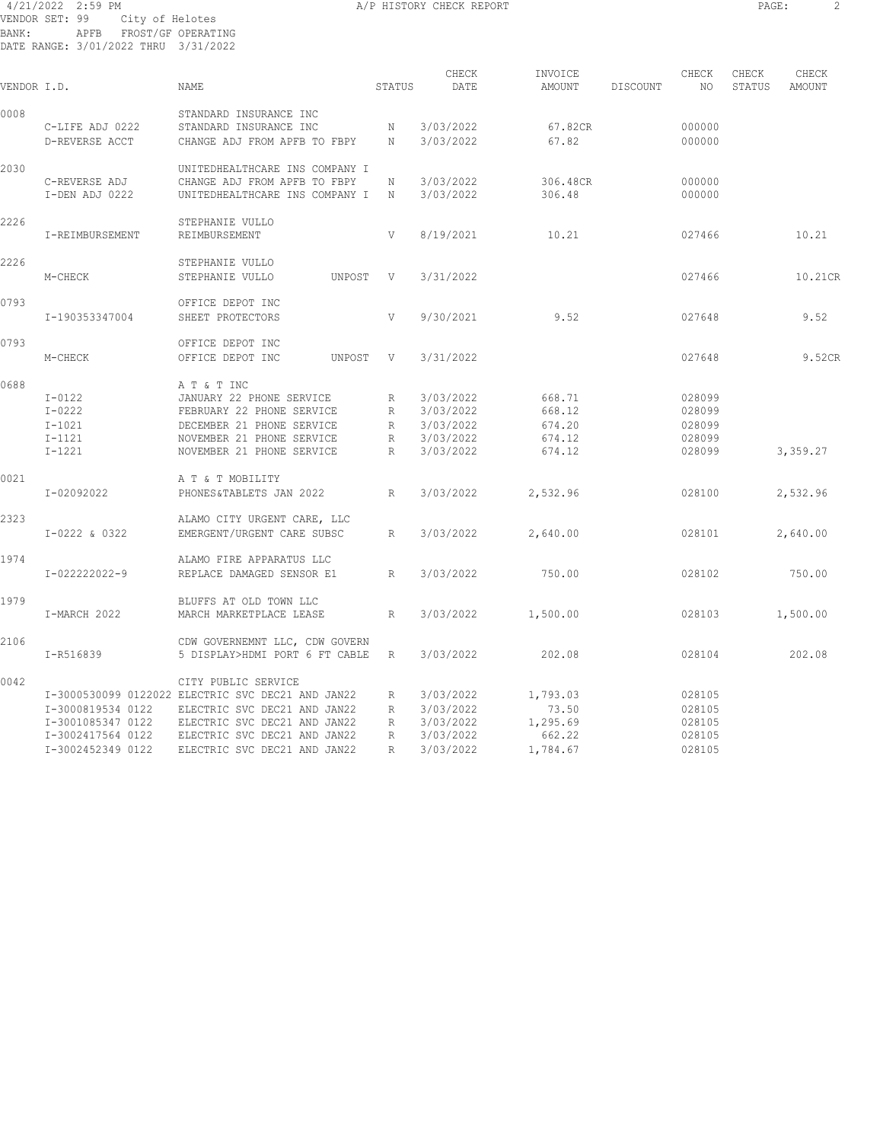#### 4/21/2022 2:59 PM A/P HISTORY CHECK REPORT PAGE: 2 VENDOR SET: 99 City of Helotes BANK: APFB FROST/GF OPERATING DATE RANGE: 3/01/2022 THRU 3/31/2022

| -<br>. .<br>__ |
|----------------|
|----------------|

| VENDOR I.D. |                   | NAME                                                             | STATUS       | CHECK<br>DATE | INVOICE<br>AMOUNT | DISCOUNT | CHECK<br>NO | CHECK<br>STATUS | CHECK<br>AMOUNT |
|-------------|-------------------|------------------------------------------------------------------|--------------|---------------|-------------------|----------|-------------|-----------------|-----------------|
| 0008        |                   | STANDARD INSURANCE INC                                           |              |               |                   |          |             |                 |                 |
|             | C-LIFE ADJ 0222   | STANDARD INSURANCE INC                                           | N            | 3/03/2022     | 67.82CR           |          | 000000      |                 |                 |
|             | D-REVERSE ACCT    | CHANGE ADJ FROM APFB TO FBPY                                     | N            | 3/03/2022     | 67.82             |          | 000000      |                 |                 |
| 2030        |                   | UNITEDHEALTHCARE INS COMPANY I                                   |              |               |                   |          |             |                 |                 |
|             | C-REVERSE ADJ     | CHANGE ADJ FROM APFB TO FBPY                                     | Ν            | 3/03/2022     | 306.48CR          |          | 000000      |                 |                 |
|             | I-DEN ADJ 0222    | UNITEDHEALTHCARE INS COMPANY I                                   | N            | 3/03/2022     | 306.48            |          | 000000      |                 |                 |
| 2226        |                   | STEPHANIE VULLO                                                  |              |               |                   |          |             |                 |                 |
|             | I-REIMBURSEMENT   | REIMBURSEMENT                                                    | V            | 8/19/2021     | 10.21             |          | 027466      |                 | 10.21           |
| 2226        |                   | STEPHANIE VULLO                                                  |              |               |                   |          |             |                 |                 |
|             | M-CHECK           | STEPHANIE VULLO<br>UNPOST                                        | V            | 3/31/2022     |                   |          | 027466      |                 | 10.21CR         |
|             |                   |                                                                  |              |               |                   |          |             |                 |                 |
| 0793        |                   | OFFICE DEPOT INC                                                 |              |               |                   |          |             |                 |                 |
|             | I-190353347004    | SHEET PROTECTORS                                                 | $\mathbf{V}$ | 9/30/2021     | 9.52              |          | 027648      |                 | 9.52            |
| 0793        |                   | OFFICE DEPOT INC                                                 |              |               |                   |          |             |                 |                 |
|             | M-CHECK           | OFFICE DEPOT INC<br>UNPOST                                       | V            | 3/31/2022     |                   |          | 027648      |                 | 9.52CR          |
| 0688        |                   | A T & T INC                                                      |              |               |                   |          |             |                 |                 |
|             | $I-0122$          | JANUARY 22 PHONE SERVICE                                         | R            | 3/03/2022     | 668.71            |          | 028099      |                 |                 |
|             | $I-0222$          | FEBRUARY 22 PHONE SERVICE                                        | R            | 3/03/2022     | 668.12            |          | 028099      |                 |                 |
|             | $I - 1021$        | DECEMBER 21 PHONE SERVICE                                        | R            | 3/03/2022     | 674.20            |          | 028099      |                 |                 |
|             | $I-1121$          | NOVEMBER 21 PHONE SERVICE                                        | R            | 3/03/2022     | 674.12            |          | 028099      |                 |                 |
|             | $I - 1221$        | NOVEMBER 21 PHONE SERVICE                                        | R            | 3/03/2022     | 674.12            |          | 028099      |                 | 3,359.27        |
| 0021        |                   | A T & T MOBILITY                                                 |              |               |                   |          |             |                 |                 |
|             | I-02092022        | PHONES&TABLETS JAN 2022                                          | R            | 3/03/2022     | 2,532.96          |          | 028100      |                 | 2,532.96        |
|             |                   |                                                                  |              |               |                   |          |             |                 |                 |
| 2323        |                   | ALAMO CITY URGENT CARE, LLC                                      |              |               |                   |          |             |                 |                 |
|             | I-0222 & 0322     | EMERGENT/URGENT CARE SUBSC                                       | R            | 3/03/2022     | 2,640.00          |          | 028101      |                 | 2,640.00        |
| 1974        |                   | ALAMO FIRE APPARATUS LLC                                         |              |               |                   |          |             |                 |                 |
|             | I-022222022-9     | REPLACE DAMAGED SENSOR E1                                        | R            | 3/03/2022     | 750.00            |          | 028102      |                 | 750.00          |
| 1979        |                   | BLUFFS AT OLD TOWN LLC                                           |              |               |                   |          |             |                 |                 |
|             | I-MARCH 2022      | MARCH MARKETPLACE LEASE                                          | R            | 3/03/2022     | 1,500.00          |          | 028103      |                 | 1,500.00        |
|             |                   |                                                                  |              |               |                   |          |             |                 |                 |
| 2106        | I-R516839         | CDW GOVERNEMNT LLC, CDW GOVERN<br>5 DISPLAY>HDMI PORT 6 FT CABLE | R            | 3/03/2022     | 202.08            |          | 028104      |                 | 202.08          |
|             |                   |                                                                  |              |               |                   |          |             |                 |                 |
| 0042        |                   | CITY PUBLIC SERVICE                                              |              |               |                   |          |             |                 |                 |
|             |                   | I-3000530099 0122022 ELECTRIC SVC DEC21 AND JAN22                | R            | 3/03/2022     | 1,793.03          |          | 028105      |                 |                 |
|             | I-3000819534 0122 | ELECTRIC SVC DEC21 AND JAN22                                     | R            | 3/03/2022     | 73.50             |          | 028105      |                 |                 |
|             | I-3001085347 0122 | ELECTRIC SVC DEC21 AND JAN22                                     | R            | 3/03/2022     | 1,295.69          |          | 028105      |                 |                 |
|             | I-3002417564 0122 | ELECTRIC SVC DEC21 AND JAN22                                     | R            | 3/03/2022     | 662.22            |          | 028105      |                 |                 |
|             | I-3002452349 0122 | ELECTRIC SVC DEC21 AND JAN22                                     | $\mathbb{R}$ | 3/03/2022     | 1,784.67          |          | 028105      |                 |                 |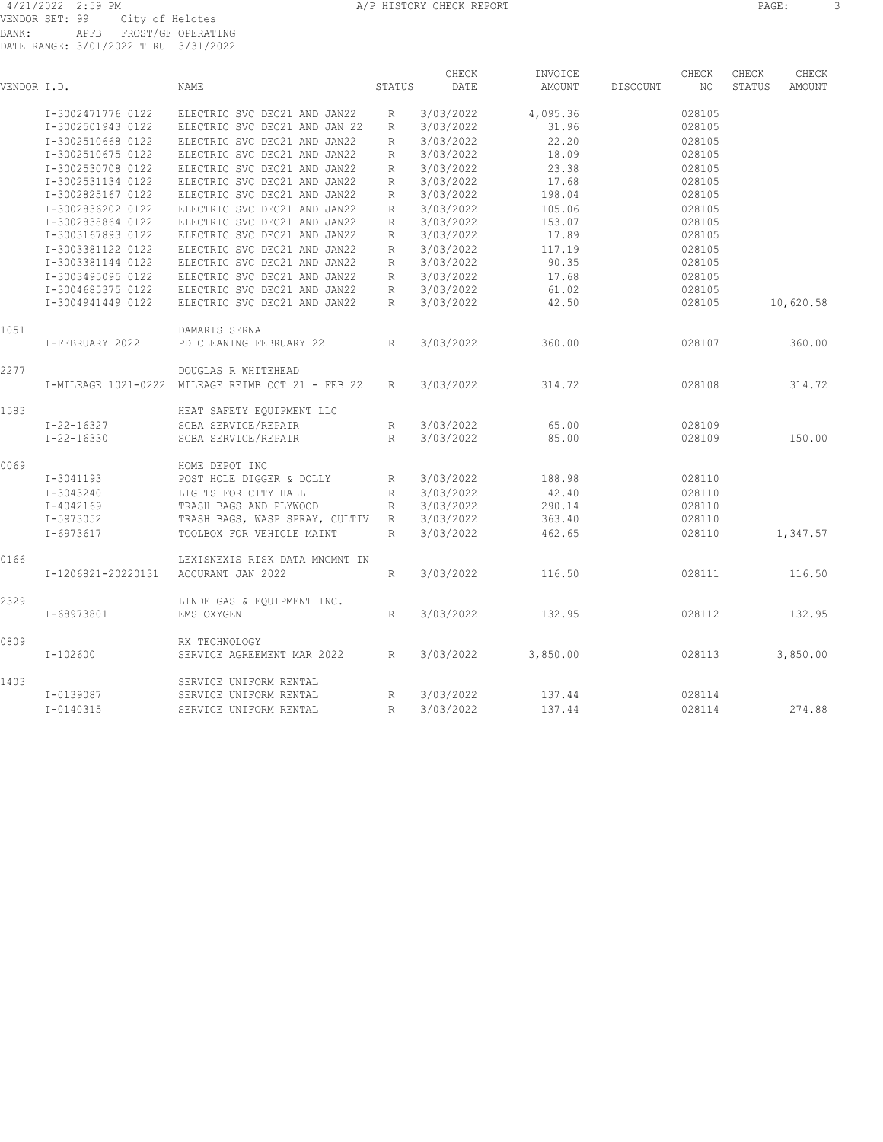| VENDOR I.D. |                    | <b>NAME</b>                                       | STATUS       | CHECK<br>DATE | INVOICE<br><b>AMOUNT</b> | DISCOUNT | CHECK<br>NO. | CHECK<br>STATUS | CHECK<br>AMOUNT |
|-------------|--------------------|---------------------------------------------------|--------------|---------------|--------------------------|----------|--------------|-----------------|-----------------|
|             | I-3002471776 0122  | ELECTRIC SVC DEC21 AND JAN22                      | R            | 3/03/2022     | 4,095.36                 |          | 028105       |                 |                 |
|             | I-3002501943 0122  | ELECTRIC SVC DEC21 AND JAN 22                     | R            | 3/03/2022     | 31.96                    |          | 028105       |                 |                 |
|             | I-3002510668 0122  | ELECTRIC SVC DEC21 AND JAN22                      | R            | 3/03/2022     | 22.20                    |          | 028105       |                 |                 |
|             | I-3002510675 0122  | ELECTRIC SVC DEC21 AND JAN22                      | R            | 3/03/2022     | 18.09                    |          | 028105       |                 |                 |
|             | I-3002530708 0122  | ELECTRIC SVC DEC21 AND JAN22                      | $\mathbb{R}$ | 3/03/2022     | 23.38                    |          | 028105       |                 |                 |
|             | I-3002531134 0122  | ELECTRIC SVC DEC21 AND JAN22                      | R            | 3/03/2022     | 17.68                    |          | 028105       |                 |                 |
|             | I-3002825167 0122  | ELECTRIC SVC DEC21 AND JAN22                      | R            | 3/03/2022     | 198.04                   |          | 028105       |                 |                 |
|             | I-3002836202 0122  | ELECTRIC SVC DEC21 AND JAN22                      | R            | 3/03/2022     | 105.06                   |          | 028105       |                 |                 |
|             | I-3002838864 0122  | ELECTRIC SVC DEC21 AND JAN22                      | $\mathbb{R}$ | 3/03/2022     | 153.07                   |          | 028105       |                 |                 |
|             | I-3003167893 0122  | ELECTRIC SVC DEC21 AND JAN22                      | R            | 3/03/2022     | 17.89                    |          | 028105       |                 |                 |
|             | I-3003381122 0122  | ELECTRIC SVC DEC21 AND JAN22                      | R            | 3/03/2022     | 117.19                   |          | 028105       |                 |                 |
|             | I-3003381144 0122  | ELECTRIC SVC DEC21 AND JAN22                      | R            | 3/03/2022     | 90.35                    |          | 028105       |                 |                 |
|             | I-3003495095 0122  | ELECTRIC SVC DEC21 AND JAN22                      | $\mathbb{R}$ | 3/03/2022     | 17.68                    |          | 028105       |                 |                 |
|             | I-3004685375 0122  | ELECTRIC SVC DEC21 AND JAN22                      | R            | 3/03/2022     | 61.02                    |          | 028105       |                 |                 |
|             | I-3004941449 0122  | ELECTRIC SVC DEC21 AND JAN22                      | R            | 3/03/2022     | 42.50                    |          | 028105       |                 | 10,620.58       |
| 1051        |                    | DAMARIS SERNA                                     |              |               |                          |          |              |                 |                 |
|             | I-FEBRUARY 2022    | PD CLEANING FEBRUARY 22                           | R            | 3/03/2022     | 360.00                   |          | 028107       |                 | 360.00          |
| 2277        |                    | DOUGLAS R WHITEHEAD                               |              |               |                          |          |              |                 |                 |
|             |                    | I-MILEAGE 1021-0222 MILEAGE REIMB OCT 21 - FEB 22 | R            | 3/03/2022     | 314.72                   |          | 028108       |                 | 314.72          |
| 1583        |                    | HEAT SAFETY EOUIPMENT LLC                         |              |               |                          |          |              |                 |                 |
|             | I-22-16327         | SCBA SERVICE/REPAIR                               | R            | 3/03/2022     | 65.00                    |          | 028109       |                 |                 |
|             | $I - 22 - 16330$   | SCBA SERVICE/REPAIR                               | R            | 3/03/2022     | 85.00                    |          | 028109       |                 | 150.00          |
| 0069        |                    | HOME DEPOT INC                                    |              |               |                          |          |              |                 |                 |
|             | $I-3041193$        | POST HOLE DIGGER & DOLLY                          | R            | 3/03/2022     | 188.98                   |          | 028110       |                 |                 |
|             | I-3043240          | LIGHTS FOR CITY HALL                              | R            | 3/03/2022     | 42.40                    |          | 028110       |                 |                 |
|             | I-4042169          | TRASH BAGS AND PLYWOOD                            | R            | 3/03/2022     | 290.14                   |          | 028110       |                 |                 |
|             | I-5973052          | TRASH BAGS, WASP SPRAY, CULTIV                    | R            | 3/03/2022     | 363.40                   |          | 028110       |                 |                 |
|             | $I-6973617$        | TOOLBOX FOR VEHICLE MAINT                         | $\mathbb{R}$ | 3/03/2022     | 462.65                   |          | 028110       |                 | 1,347.57        |
| 0166        |                    | LEXISNEXIS RISK DATA MNGMNT IN                    |              |               |                          |          |              |                 |                 |
|             | I-1206821-20220131 | ACCURANT JAN 2022                                 | R            | 3/03/2022     | 116.50                   |          | 028111       |                 | 116.50          |
| 2329        |                    | LINDE GAS & EQUIPMENT INC.                        |              |               |                          |          |              |                 |                 |
|             | I-68973801         | EMS OXYGEN                                        | R            | 3/03/2022     | 132.95                   |          | 028112       |                 | 132.95          |
| 0809        |                    | RX TECHNOLOGY                                     |              |               |                          |          |              |                 |                 |
|             | $I-102600$         | SERVICE AGREEMENT MAR 2022                        | R            | 3/03/2022     | 3,850.00                 |          | 028113       |                 | 3,850.00        |
| 1403        |                    | SERVICE UNIFORM RENTAL                            |              |               |                          |          |              |                 |                 |
|             | I-0139087          | SERVICE UNIFORM RENTAL                            | R            | 3/03/2022     | 137.44                   |          | 028114       |                 |                 |
|             | $I - 0140315$      | SERVICE UNIFORM RENTAL                            | $\mathsf{R}$ | 3/03/2022     | 137.44                   |          | 028114       |                 | 274.88          |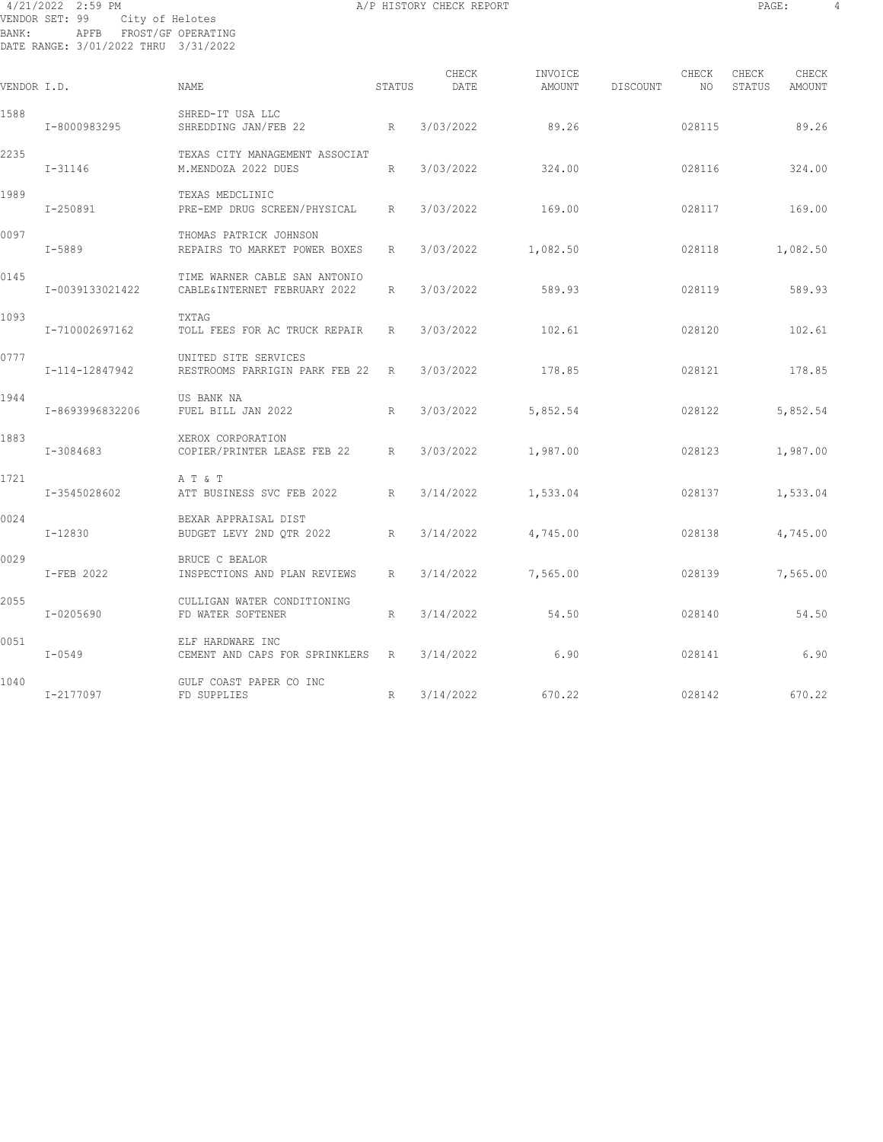#### 4/21/2022 2:59 PM A/P HISTORY CHECK REPORT PAGE: 4 VENDOR SET: 99 City of Helotes BANK: APFB FROST/GF OPERATING DATE RANGE: 3/01/2022 THRU 3/31/2022

| VENDOR I.D. |                 | <b>NAME</b>                                                    | STATUS | CHECK<br>DATE | INVOICE<br>AMOUNT | DISCOUNT | CHECK<br>NO. | CHECK<br>STATUS | CHECK<br>AMOUNT |
|-------------|-----------------|----------------------------------------------------------------|--------|---------------|-------------------|----------|--------------|-----------------|-----------------|
| 1588        | I-8000983295    | SHRED-IT USA LLC<br>SHREDDING JAN/FEB 22                       | R      | 3/03/2022     | 89.26             |          | 028115       |                 | 89.26           |
| 2235        | $I - 31146$     | TEXAS CITY MANAGEMENT ASSOCIAT<br>M.MENDOZA 2022 DUES          | R      | 3/03/2022     | 324.00            |          | 028116       |                 | 324.00          |
| 1989        | I-250891        | TEXAS MEDCLINIC<br>PRE-EMP DRUG SCREEN/PHYSICAL                | R      | 3/03/2022     | 169.00            |          | 028117       |                 | 169.00          |
| 0097        | $I - 5889$      | THOMAS PATRICK JOHNSON<br>REPAIRS TO MARKET POWER BOXES        | R      | 3/03/2022     | 1,082.50          |          | 028118       |                 | 1,082.50        |
| 0145        | I-0039133021422 | TIME WARNER CABLE SAN ANTONIO<br>CABLE& INTERNET FEBRUARY 2022 | R      | 3/03/2022     | 589.93            |          | 028119       |                 | 589.93          |
| 1093        | I-710002697162  | <b>TXTAG</b><br>TOLL FEES FOR AC TRUCK REPAIR                  | R      | 3/03/2022     | 102.61            |          | 028120       |                 | 102.61          |
| 0777        | I-114-12847942  | UNITED SITE SERVICES<br>RESTROOMS PARRIGIN PARK FEB 22 R       |        | 3/03/2022     | 178.85            |          | 028121       |                 | 178.85          |
| 1944        | I-8693996832206 | US BANK NA<br>FUEL BILL JAN 2022                               | R      | 3/03/2022     | 5,852.54          |          | 028122       |                 | 5,852.54        |
| 1883        | I-3084683       | XEROX CORPORATION<br>COPIER/PRINTER LEASE FEB 22               | R      | 3/03/2022     | 1,987.00          |          | 028123       |                 | 1,987.00        |
| 1721        | I-3545028602    | AT & T<br>ATT BUSINESS SVC FEB 2022                            | R      | 3/14/2022     | 1,533.04          |          | 028137       |                 | 1,533.04        |
| 0024        | I-12830         | BEXAR APPRAISAL DIST<br>BUDGET LEVY 2ND QTR 2022               | R      | 3/14/2022     | 4,745.00          |          | 028138       |                 | 4,745.00        |
| 0029        | I-FEB 2022      | BRUCE C BEALOR<br>INSPECTIONS AND PLAN REVIEWS                 | R      | 3/14/2022     | 7,565.00          |          | 028139       |                 | 7,565.00        |
| 2055        | I-0205690       | CULLIGAN WATER CONDITIONING<br>FD WATER SOFTENER               | R      | 3/14/2022     | 54.50             |          | 028140       |                 | 54.50           |
| 0051        | $I - 0549$      | ELF HARDWARE INC<br>CEMENT AND CAPS FOR SPRINKLERS             | R      | 3/14/2022     | 6.90              |          | 028141       |                 | 6.90            |
| 1040        | I-2177097       | GULF COAST PAPER CO INC<br>FD SUPPLIES                         | R      | 3/14/2022     | 670.22            |          | 028142       |                 | 670.22          |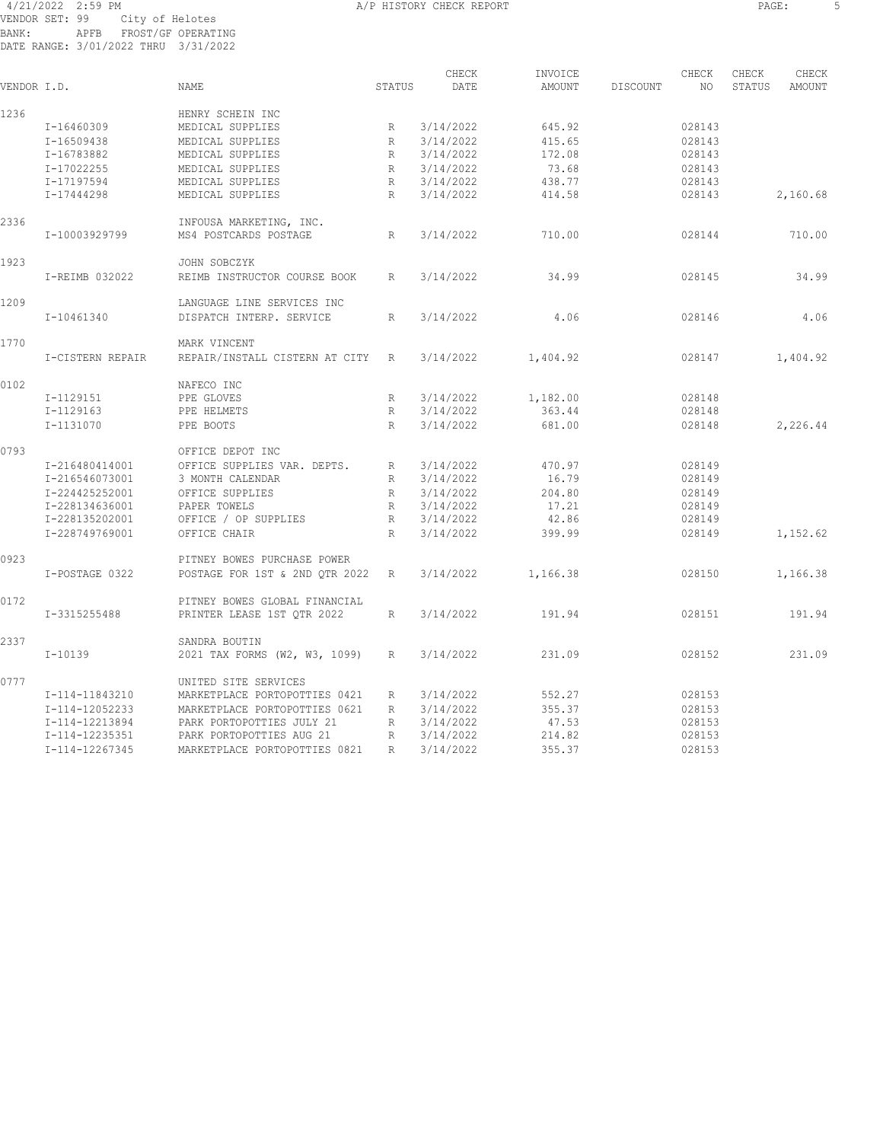#### 4/21/2022 2:59 PM A/P HISTORY CHECK REPORT PAGE: 5 VENDOR SET: 99 City of Helotes BANK: APFB FROST/GF OPERATING DATE RANGE: 3/01/2022 THRU 3/31/2022

| VENDOR I.D. |                  | <b>NAME</b>                    | STATUS       | CHECK<br>DATE | INVOICE<br>AMOUNT | DISCOUNT | CHECK<br>NO | CHECK<br>STATUS | CHECK<br>AMOUNT |
|-------------|------------------|--------------------------------|--------------|---------------|-------------------|----------|-------------|-----------------|-----------------|
| 1236        |                  | HENRY SCHEIN INC               |              |               |                   |          |             |                 |                 |
|             | I-16460309       | MEDICAL SUPPLIES               | R            | 3/14/2022     | 645.92            |          | 028143      |                 |                 |
|             | $I - 16509438$   | MEDICAL SUPPLIES               | R            | 3/14/2022     | 415.65            |          | 028143      |                 |                 |
|             | I-16783882       | MEDICAL SUPPLIES               | $\mathbb R$  | 3/14/2022     | 172.08            |          | 028143      |                 |                 |
|             | I-17022255       | MEDICAL SUPPLIES               | $\mathbb R$  | 3/14/2022     | 73.68             |          | 028143      |                 |                 |
|             | I-17197594       | MEDICAL SUPPLIES               | R            | 3/14/2022     | 438.77            |          | 028143      |                 |                 |
|             | I-17444298       | MEDICAL SUPPLIES               | R            | 3/14/2022     | 414.58            |          | 028143      |                 | 2,160.68        |
| 2336        |                  | INFOUSA MARKETING, INC.        |              |               |                   |          |             |                 |                 |
|             | I-10003929799    | MS4 POSTCARDS POSTAGE          | $\mathbb R$  | 3/14/2022     | 710.00            |          | 028144      |                 | 710.00          |
| 1923        |                  | JOHN SOBCZYK                   |              |               |                   |          |             |                 |                 |
|             | I-REIMB 032022   | REIMB INSTRUCTOR COURSE BOOK   | R            | 3/14/2022     | 34.99             |          | 028145      |                 | 34.99           |
| 1209        |                  | LANGUAGE LINE SERVICES INC     |              |               |                   |          |             |                 |                 |
|             | I-10461340       | DISPATCH INTERP. SERVICE       | R            | 3/14/2022     | 4.06              |          | 028146      |                 | 4.06            |
| 1770        |                  | MARK VINCENT                   |              |               |                   |          |             |                 |                 |
|             | I-CISTERN REPAIR | REPAIR/INSTALL CISTERN AT CITY | $\mathbb{R}$ | 3/14/2022     | 1,404.92          |          | 028147      |                 | 1,404.92        |
| 0102        |                  | NAFECO INC                     |              |               |                   |          |             |                 |                 |
|             | I-1129151        | PPE GLOVES                     | $\mathbb R$  | 3/14/2022     | 1,182.00          |          | 028148      |                 |                 |
|             | I-1129163        | PPE HELMETS                    | R            | 3/14/2022     | 363.44            |          | 028148      |                 |                 |
|             | I-1131070        | PPE BOOTS                      | R            | 3/14/2022     | 681.00            |          | 028148      |                 | 2,226.44        |
| 0793        |                  | OFFICE DEPOT INC               |              |               |                   |          |             |                 |                 |
|             | I-216480414001   | OFFICE SUPPLIES VAR. DEPTS.    | R            | 3/14/2022     | 470.97            |          | 028149      |                 |                 |
|             | I-216546073001   | 3 MONTH CALENDAR               | R            | 3/14/2022     | 16.79             |          | 028149      |                 |                 |
|             | I-224425252001   | OFFICE SUPPLIES                | R            | 3/14/2022     | 204.80            |          | 028149      |                 |                 |
|             | I-228134636001   | PAPER TOWELS                   | R            | 3/14/2022     | 17.21             |          | 028149      |                 |                 |
|             | I-228135202001   | OFFICE / OP SUPPLIES           | R            | 3/14/2022     | 42.86             |          | 028149      |                 |                 |
|             | I-228749769001   | OFFICE CHAIR                   | R            | 3/14/2022     | 399.99            |          | 028149      |                 | 1,152.62        |
| 0923        |                  | PITNEY BOWES PURCHASE POWER    |              |               |                   |          |             |                 |                 |
|             | I-POSTAGE 0322   | POSTAGE FOR 1ST & 2ND OTR 2022 | R            | 3/14/2022     | 1,166.38          |          | 028150      |                 | 1,166.38        |
| 0172        |                  | PITNEY BOWES GLOBAL FINANCIAL  |              |               |                   |          |             |                 |                 |
|             | I-3315255488     | PRINTER LEASE 1ST QTR 2022     | $\mathbb{R}$ | 3/14/2022     | 191.94            |          | 028151      |                 | 191.94          |
| 2337        |                  | SANDRA BOUTIN                  |              |               |                   |          |             |                 |                 |
|             | $I-10139$        | 2021 TAX FORMS (W2, W3, 1099)  | $\mathbb R$  | 3/14/2022     | 231.09            |          | 028152      |                 | 231.09          |
| 0777        |                  | UNITED SITE SERVICES           |              |               |                   |          |             |                 |                 |
|             | I-114-11843210   | MARKETPLACE PORTOPOTTIES 0421  | R            | 3/14/2022     | 552.27            |          | 028153      |                 |                 |
|             | I-114-12052233   | MARKETPLACE PORTOPOTTIES 0621  | $\mathbb{R}$ | 3/14/2022     | 355.37            |          | 028153      |                 |                 |
|             | I-114-12213894   | PARK PORTOPOTTIES JULY 21      | R            | 3/14/2022     | 47.53             |          | 028153      |                 |                 |
|             | I-114-12235351   | PARK PORTOPOTTIES AUG 21       | R            | 3/14/2022     | 214.82            |          | 028153      |                 |                 |
|             | I-114-12267345   | MARKETPLACE PORTOPOTTIES 0821  | $\mathbb{R}$ | 3/14/2022     | 355.37            |          | 028153      |                 |                 |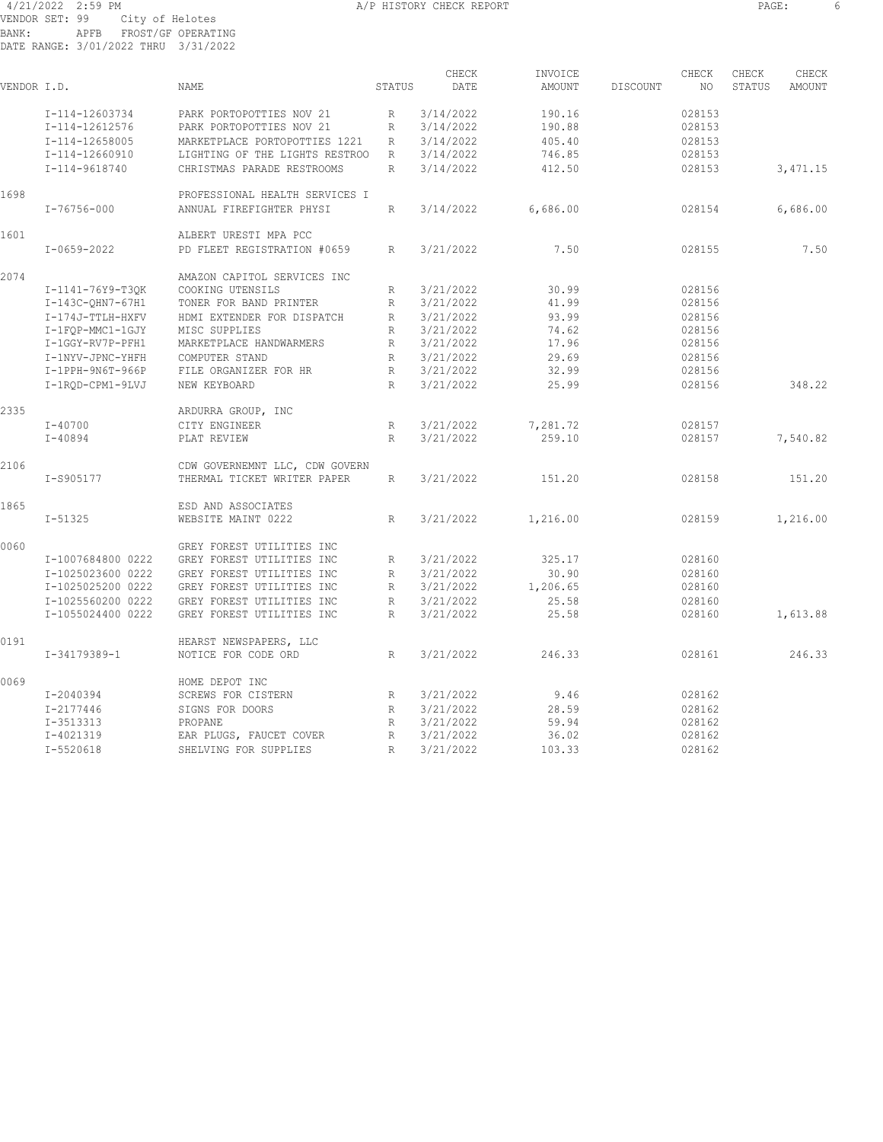#### 4/21/2022 2:59 PM A/P HISTORY CHECK REPORT PAGE: 6 VENDOR SET: 99 City of Helotes BANK: APFB FROST/GF OPERATING DATE RANGE: 3/01/2022 THRU 3/31/2022

| VENDOR I.D. |                    | NAME                           | STATUS       | CHECK<br>DATE | INVOICE<br>AMOUNT | DISCOUNT | CHECK<br>NO | CHECK<br>STATUS | CHECK<br><b>AMOUNT</b> |
|-------------|--------------------|--------------------------------|--------------|---------------|-------------------|----------|-------------|-----------------|------------------------|
|             | I-114-12603734     | PARK PORTOPOTTIES NOV 21       | R            | 3/14/2022     | 190.16            |          | 028153      |                 |                        |
|             | I-114-12612576     | PARK PORTOPOTTIES NOV 21       | R            | 3/14/2022     | 190.88            |          | 028153      |                 |                        |
|             | I-114-12658005     | MARKETPLACE PORTOPOTTIES 1221  | R            | 3/14/2022     | 405.40            |          | 028153      |                 |                        |
|             | I-114-12660910     | LIGHTING OF THE LIGHTS RESTROO | R            | 3/14/2022     | 746.85            |          | 028153      |                 |                        |
|             | I-114-9618740      | CHRISTMAS PARADE RESTROOMS     | R            | 3/14/2022     | 412.50            |          | 028153      |                 | 3,471.15               |
| 1698        |                    | PROFESSIONAL HEALTH SERVICES I |              |               |                   |          |             |                 |                        |
|             | $I - 76756 - 000$  | ANNUAL FIREFIGHTER PHYSI       | $\mathbb{R}$ | 3/14/2022     | 6,686.00          |          | 028154      |                 | 6,686.00               |
| 1601        |                    | ALBERT URESTI MPA PCC          |              |               |                   |          |             |                 |                        |
|             | $I - 0659 - 2022$  | PD FLEET REGISTRATION #0659    | $\mathbb{R}$ | 3/21/2022     | 7.50              |          | 028155      |                 | 7.50                   |
| 2074        |                    | AMAZON CAPITOL SERVICES INC    |              |               |                   |          |             |                 |                        |
|             | I-1141-76Y9-T3OK   | COOKING UTENSILS               | R            | 3/21/2022     | 30.99             |          | 028156      |                 |                        |
|             | $I-143C-QHN7-67H1$ | TONER FOR BAND PRINTER         | R            | 3/21/2022     | 41.99             |          | 028156      |                 |                        |
|             | I-174J-TTLH-HXFV   | HDMI EXTENDER FOR DISPATCH     | R            | 3/21/2022     | 93.99             |          | 028156      |                 |                        |
|             | I-1FQP-MMC1-1GJY   | MISC SUPPLIES                  | $\mathbb{R}$ | 3/21/2022     | 74.62             |          | 028156      |                 |                        |
|             | I-1GGY-RV7P-PFH1   | MARKETPLACE HANDWARMERS        | R            | 3/21/2022     | 17.96             |          | 028156      |                 |                        |
|             | I-1NYV-JPNC-YHFH   | COMPUTER STAND                 | R            | 3/21/2022     | 29.69             |          | 028156      |                 |                        |
|             | I-1PPH-9N6T-966P   | FILE ORGANIZER FOR HR          | R            | 3/21/2022     | 32.99             |          | 028156      |                 |                        |
|             | I-1ROD-CPM1-9LVJ   | NEW KEYBOARD                   | R            | 3/21/2022     | 25.99             |          | 028156      |                 | 348.22                 |
| 2335        |                    | ARDURRA GROUP, INC             |              |               |                   |          |             |                 |                        |
|             | $I - 40700$        | CITY ENGINEER                  | R            | 3/21/2022     | 7,281.72          |          | 028157      |                 |                        |
|             | $I - 40894$        | PLAT REVIEW                    | $\mathbb{R}$ | 3/21/2022     | 259.10            |          | 028157      |                 | 7,540.82               |
| 2106        |                    | CDW GOVERNEMNT LLC, CDW GOVERN |              |               |                   |          |             |                 |                        |
|             | I-S905177          | THERMAL TICKET WRITER PAPER    | $\mathbb{R}$ | 3/21/2022     | 151.20            |          | 028158      |                 | 151.20                 |
| 1865        |                    | ESD AND ASSOCIATES             |              |               |                   |          |             |                 |                        |
|             | $I - 51325$        | WEBSITE MAINT 0222             | R            | 3/21/2022     | 1,216.00          |          | 028159      |                 | 1,216.00               |
| 0060        |                    | GREY FOREST UTILITIES INC      |              |               |                   |          |             |                 |                        |
|             | I-1007684800 0222  | GREY FOREST UTILITIES INC      | R            | 3/21/2022     | 325.17            |          | 028160      |                 |                        |
|             | I-1025023600 0222  | GREY FOREST UTILITIES INC      | R            | 3/21/2022     | 30.90             |          | 028160      |                 |                        |
|             | I-1025025200 0222  | GREY FOREST UTILITIES INC      | R            | 3/21/2022     | 1,206.65          |          | 028160      |                 |                        |
|             | I-1025560200 0222  | GREY FOREST UTILITIES INC      | $\mathbb{R}$ | 3/21/2022     | 25.58             |          | 028160      |                 |                        |
|             | I-1055024400 0222  | GREY FOREST UTILITIES INC      | R            | 3/21/2022     | 25.58             |          | 028160      |                 | 1,613.88               |
| 0191        |                    | HEARST NEWSPAPERS, LLC         |              |               |                   |          |             |                 |                        |
|             | I-34179389-1       | NOTICE FOR CODE ORD            | R            | 3/21/2022     | 246.33            |          | 028161      |                 | 246.33                 |
| 0069        |                    | HOME DEPOT INC                 |              |               |                   |          |             |                 |                        |
|             | I-2040394          | SCREWS FOR CISTERN             | R            | 3/21/2022     | 9.46              |          | 028162      |                 |                        |
|             | I-2177446          | SIGNS FOR DOORS                | R            | 3/21/2022     | 28.59             |          | 028162      |                 |                        |
|             | I-3513313          | PROPANE                        | R            | 3/21/2022     | 59.94             |          | 028162      |                 |                        |
|             | I-4021319          | EAR PLUGS, FAUCET COVER        | R            | 3/21/2022     | 36.02             |          | 028162      |                 |                        |
|             | I-5520618          | SHELVING FOR SUPPLIES          | $\mathbb{R}$ | 3/21/2022     | 103.33            |          | 028162      |                 |                        |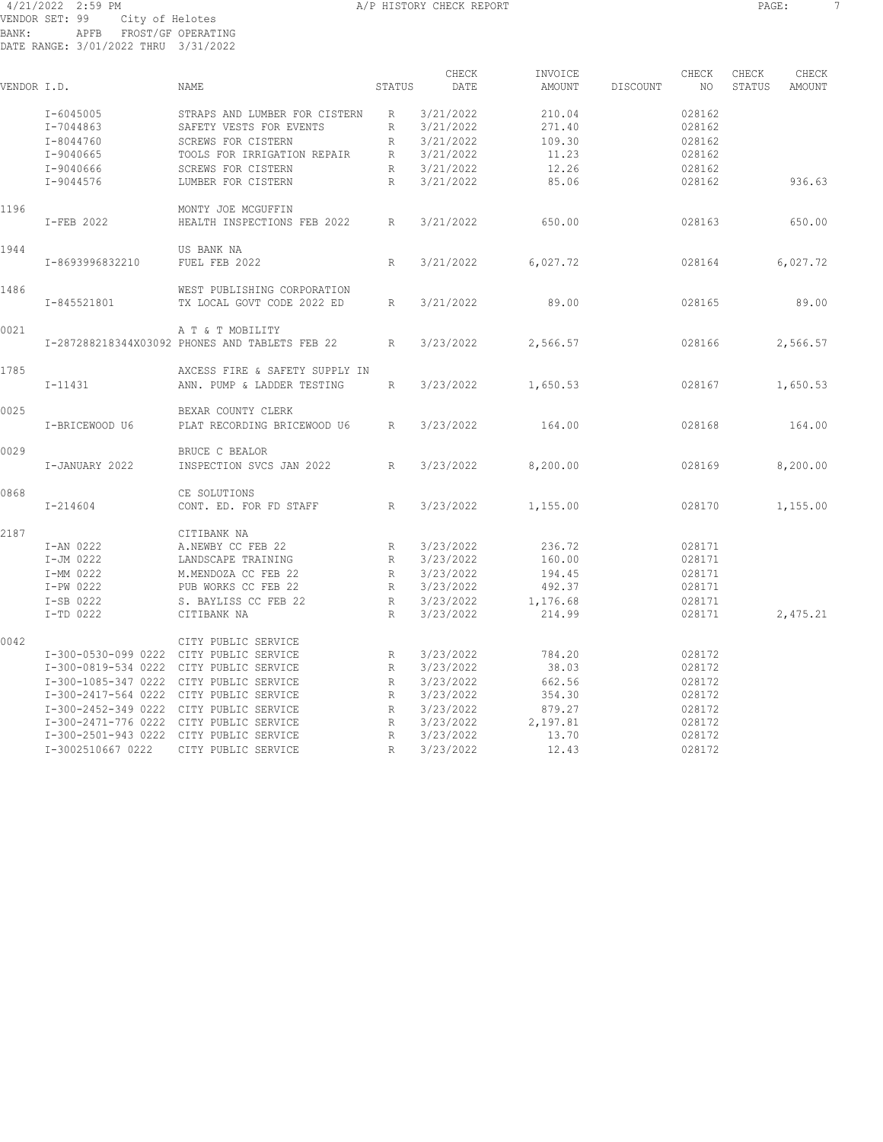#### 4/21/2022 2:59 PM A/P HISTORY CHECK REPORT PAGE: 7 VENDOR SET: 99 City of Helotes BANK: APFB FROST/GF OPERATING DATE RANGE: 3/01/2022 THRU 3/31/2022

|             |                                         |                                                |              | CHECK     | INVOICE       |          | CHECK  | CHECK  | CHECK         |
|-------------|-----------------------------------------|------------------------------------------------|--------------|-----------|---------------|----------|--------|--------|---------------|
| VENDOR I.D. |                                         | NAME                                           | STATUS       | DATE      | <b>AMOUNT</b> | DISCOUNT | NO.    | STATUS | <b>AMOUNT</b> |
|             | $I - 6045005$                           | STRAPS AND LUMBER FOR CISTERN                  | R            | 3/21/2022 | 210.04        |          | 028162 |        |               |
|             | I-7044863                               | SAFETY VESTS FOR EVENTS                        | R            | 3/21/2022 | 271.40        |          | 028162 |        |               |
|             | I-8044760                               | SCREWS FOR CISTERN                             | R            | 3/21/2022 | 109.30        |          | 028162 |        |               |
|             | I-9040665                               | TOOLS FOR IRRIGATION REPAIR                    | R            | 3/21/2022 | 11.23         |          | 028162 |        |               |
|             | I-9040666                               | <b>SCREWS FOR CISTERN</b>                      | R            | 3/21/2022 | 12.26         |          | 028162 |        |               |
|             | $I-9044576$                             | LUMBER FOR CISTERN                             | $\mathbb{R}$ | 3/21/2022 | 85.06         |          | 028162 |        | 936.63        |
| 1196        |                                         | MONTY JOE MCGUFFIN                             |              |           |               |          |        |        |               |
|             | I-FEB 2022                              | HEALTH INSPECTIONS FEB 2022                    | R            | 3/21/2022 | 650.00        |          | 028163 |        | 650.00        |
| 1944        |                                         | US BANK NA                                     |              |           |               |          |        |        |               |
|             | I-8693996832210                         | FUEL FEB 2022                                  | R            | 3/21/2022 | 6,027.72      |          | 028164 |        | 6,027.72      |
| 1486        |                                         | WEST PUBLISHING CORPORATION                    |              |           |               |          |        |        |               |
|             | I-845521801                             | TX LOCAL GOVT CODE 2022 ED                     | $\mathbb{R}$ | 3/21/2022 | 89.00         |          | 028165 |        | 89.00         |
| 0021        |                                         | A T & T MOBILITY                               |              |           |               |          |        |        |               |
|             |                                         | I-287288218344X03092 PHONES AND TABLETS FEB 22 | R            | 3/23/2022 | 2,566.57      |          | 028166 |        | 2,566.57      |
| 1785        |                                         | AXCESS FIRE & SAFETY SUPPLY IN                 |              |           |               |          |        |        |               |
|             | $I-11431$                               | ANN. PUMP & LADDER TESTING                     | $\mathbb{R}$ | 3/23/2022 | 1,650.53      |          | 028167 |        | 1,650.53      |
| 0025        |                                         | BEXAR COUNTY CLERK                             |              |           |               |          |        |        |               |
|             | I-BRICEWOOD U6                          | PLAT RECORDING BRICEWOOD U6                    | $\mathbb{R}$ | 3/23/2022 | 164.00        |          | 028168 |        | 164.00        |
| 0029        |                                         | BRUCE C BEALOR                                 |              |           |               |          |        |        |               |
|             | I-JANUARY 2022                          | INSPECTION SVCS JAN 2022                       | R            | 3/23/2022 | 8,200.00      |          | 028169 |        | 8,200.00      |
| 0868        |                                         | CE SOLUTIONS                                   |              |           |               |          |        |        |               |
|             | $I - 214604$                            | CONT. ED. FOR FD STAFF                         | R            | 3/23/2022 | 1,155.00      |          | 028170 |        | 1,155.00      |
| 2187        |                                         | CITIBANK NA                                    |              |           |               |          |        |        |               |
|             | I-AN 0222                               | A.NEWBY CC FEB 22                              | $\mathbb{R}$ | 3/23/2022 | 236.72        |          | 028171 |        |               |
|             | I-JM 0222                               | LANDSCAPE TRAINING                             | R            | 3/23/2022 | 160.00        |          | 028171 |        |               |
|             | I-MM 0222                               | M.MENDOZA CC FEB 22                            | R            | 3/23/2022 | 194.45        |          | 028171 |        |               |
|             | I-PW 0222                               | PUB WORKS CC FEB 22                            | R            | 3/23/2022 | 492.37        |          | 028171 |        |               |
|             | I-SB 0222                               | S. BAYLISS CC FEB 22                           | R            | 3/23/2022 | 1,176.68      |          | 028171 |        |               |
|             | I-TD 0222                               | CITIBANK NA                                    | R            | 3/23/2022 | 214.99        |          | 028171 |        | 2,475.21      |
| 0042        |                                         | CITY PUBLIC SERVICE                            |              |           |               |          |        |        |               |
|             | I-300-0530-099 0222 CITY PUBLIC SERVICE |                                                | R            | 3/23/2022 | 784.20        |          | 028172 |        |               |
|             | I-300-0819-534 0222                     | CITY PUBLIC SERVICE                            | R            | 3/23/2022 | 38.03         |          | 028172 |        |               |
|             | I-300-1085-347 0222                     | CITY PUBLIC SERVICE                            | R            | 3/23/2022 | 662.56        |          | 028172 |        |               |
|             | I-300-2417-564 0222                     | CITY PUBLIC SERVICE                            | R            | 3/23/2022 | 354.30        |          | 028172 |        |               |
|             | I-300-2452-349 0222                     | CITY PUBLIC SERVICE                            | $\mathbb{R}$ | 3/23/2022 | 879.27        |          | 028172 |        |               |
|             | I-300-2471-776 0222 CITY PUBLIC SERVICE |                                                | R            | 3/23/2022 | 2,197.81      |          | 028172 |        |               |
|             | I-300-2501-943 0222 CITY PUBLIC SERVICE |                                                | R            | 3/23/2022 | 13.70         |          | 028172 |        |               |
|             | I-3002510667 0222                       | CITY PUBLIC SERVICE                            | $\mathbb{R}$ | 3/23/2022 | 12.43         |          | 028172 |        |               |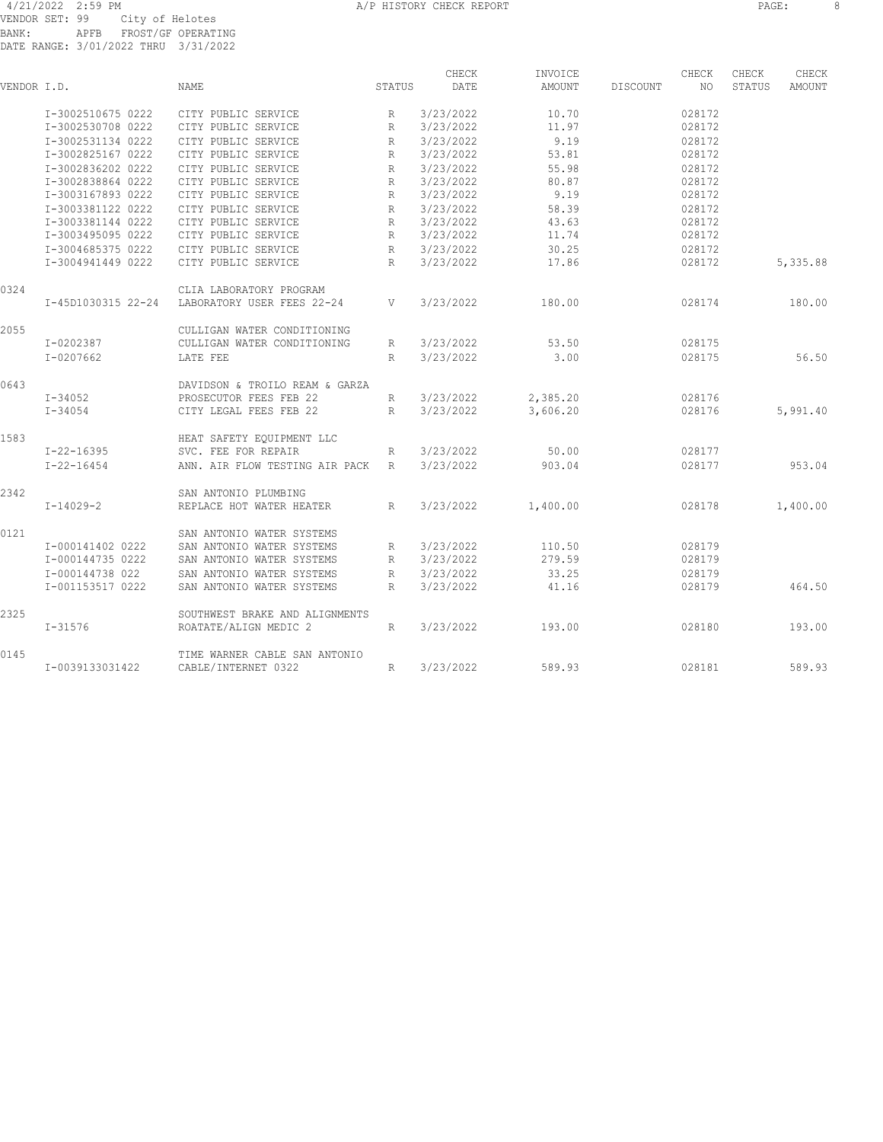|             |                    |                                |              | CHECK     | INVOICE  |          | CHECK  | CHECK  | CHECK    |
|-------------|--------------------|--------------------------------|--------------|-----------|----------|----------|--------|--------|----------|
| VENDOR I.D. |                    | <b>NAME</b>                    | STATUS       | DATE      | AMOUNT   | DISCOUNT | NO     | STATUS | AMOUNT   |
|             | I-3002510675 0222  | CITY PUBLIC SERVICE            | R            | 3/23/2022 | 10.70    |          | 028172 |        |          |
|             | I-3002530708 0222  | CITY PUBLIC SERVICE            | R            | 3/23/2022 | 11.97    |          | 028172 |        |          |
|             | I-3002531134 0222  | CITY PUBLIC SERVICE            | R            | 3/23/2022 | 9.19     |          | 028172 |        |          |
|             | I-3002825167 0222  | CITY PUBLIC SERVICE            | R            | 3/23/2022 | 53.81    |          | 028172 |        |          |
|             | I-3002836202 0222  | CITY PUBLIC SERVICE            | R            | 3/23/2022 | 55.98    |          | 028172 |        |          |
|             | I-3002838864 0222  | CITY PUBLIC SERVICE            | R            | 3/23/2022 | 80.87    |          | 028172 |        |          |
|             | I-3003167893 0222  | CITY PUBLIC SERVICE            | $\mathbb{R}$ | 3/23/2022 | 9.19     |          | 028172 |        |          |
|             | I-3003381122 0222  | CITY PUBLIC SERVICE            | R            | 3/23/2022 | 58.39    |          | 028172 |        |          |
|             | I-3003381144 0222  | CITY PUBLIC SERVICE            | R            | 3/23/2022 | 43.63    |          | 028172 |        |          |
|             | I-3003495095 0222  | CITY PUBLIC SERVICE            | R            | 3/23/2022 | 11.74    |          | 028172 |        |          |
|             | I-3004685375 0222  | CITY PUBLIC SERVICE            | R            | 3/23/2022 | 30.25    |          | 028172 |        |          |
|             | I-3004941449 0222  | CITY PUBLIC SERVICE            | R            | 3/23/2022 | 17.86    |          | 028172 |        | 5,335.88 |
| 0324        |                    | CLIA LABORATORY PROGRAM        |              |           |          |          |        |        |          |
|             | I-45D1030315 22-24 | LABORATORY USER FEES 22-24     | V            | 3/23/2022 | 180.00   |          | 028174 |        | 180.00   |
| 2055        |                    | CULLIGAN WATER CONDITIONING    |              |           |          |          |        |        |          |
|             | I-0202387          | CULLIGAN WATER CONDITIONING    | R            | 3/23/2022 | 53.50    |          | 028175 |        |          |
|             | $I - 0207662$      | LATE FEE                       | $\mathbb{R}$ | 3/23/2022 | 3.00     |          | 028175 |        | 56.50    |
| 0643        |                    | DAVIDSON & TROILO REAM & GARZA |              |           |          |          |        |        |          |
|             | I-34052            | PROSECUTOR FEES FEB 22         | R            | 3/23/2022 | 2,385.20 |          | 028176 |        |          |
|             | $I - 34054$        | CITY LEGAL FEES FEB 22         | R            | 3/23/2022 | 3,606.20 |          | 028176 |        | 5,991.40 |
| 1583        |                    | HEAT SAFETY EQUIPMENT LLC      |              |           |          |          |        |        |          |
|             | $I - 22 - 16395$   | SVC. FEE FOR REPAIR            | R            | 3/23/2022 | 50.00    |          | 028177 |        |          |
|             | $I - 22 - 16454$   | ANN. AIR FLOW TESTING AIR PACK | R            | 3/23/2022 | 903.04   |          | 028177 |        | 953.04   |
| 2342        |                    | SAN ANTONIO PLUMBING           |              |           |          |          |        |        |          |
|             | $I - 14029 - 2$    | REPLACE HOT WATER HEATER       | R            | 3/23/2022 | 1,400.00 |          | 028178 |        | 1,400.00 |
| 0121        |                    | SAN ANTONIO WATER SYSTEMS      |              |           |          |          |        |        |          |
|             | I-000141402 0222   | SAN ANTONIO WATER SYSTEMS      | R            | 3/23/2022 | 110.50   |          | 028179 |        |          |
|             | I-000144735 0222   | SAN ANTONIO WATER SYSTEMS      | R            | 3/23/2022 | 279.59   |          | 028179 |        |          |
|             | I-000144738 022    | SAN ANTONIO WATER SYSTEMS      | $\mathbb{R}$ | 3/23/2022 | 33.25    |          | 028179 |        |          |
|             | I-001153517 0222   | SAN ANTONIO WATER SYSTEMS      | R            | 3/23/2022 | 41.16    |          | 028179 |        | 464.50   |
| 2325        |                    | SOUTHWEST BRAKE AND ALIGNMENTS |              |           |          |          |        |        |          |
|             | $I - 31576$        | ROATATE/ALIGN MEDIC 2          | R            | 3/23/2022 | 193.00   |          | 028180 |        | 193.00   |
| 0145        |                    | TIME WARNER CABLE SAN ANTONIO  |              |           |          |          |        |        |          |
|             | I-0039133031422    | CABLE/INTERNET 0322            | R            | 3/23/2022 | 589.93   |          | 028181 |        | 589.93   |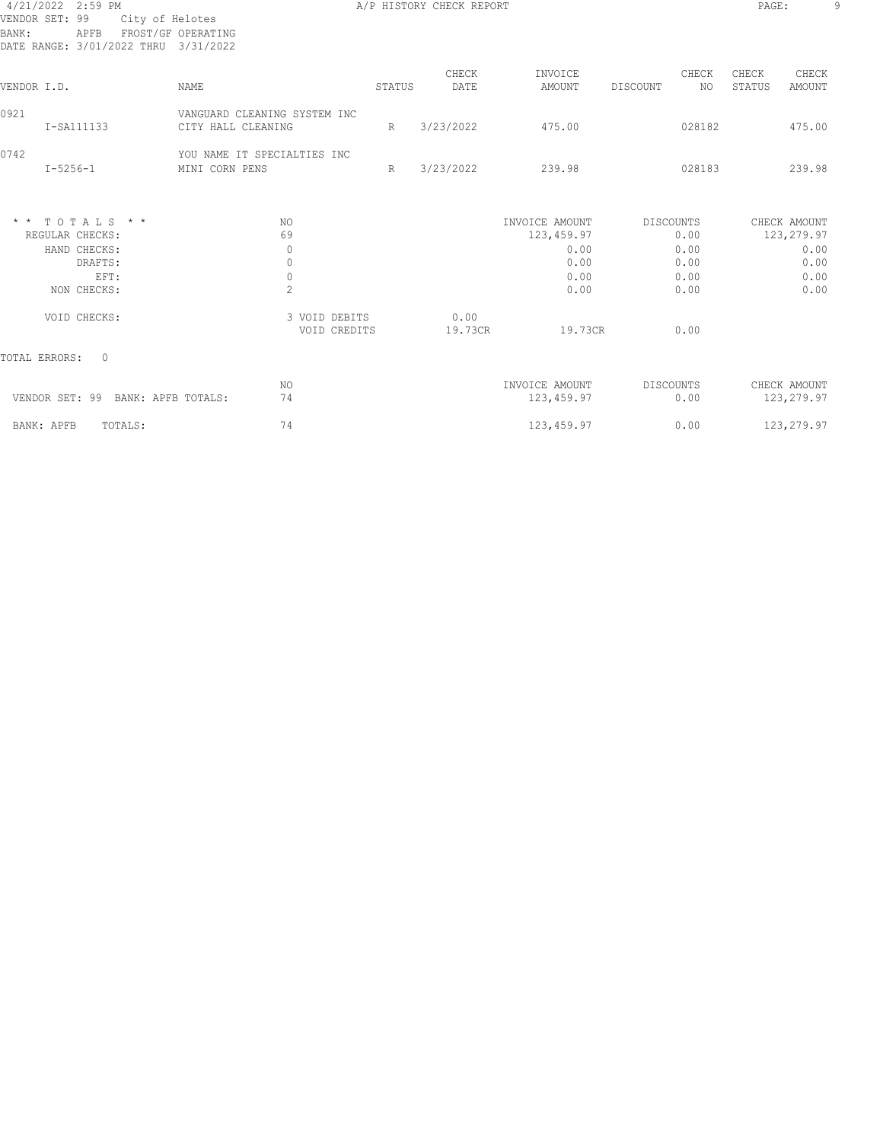#### 4/21/2022 2:59 PM A/P HISTORY CHECK REPORT PAGE: 9 VENDOR SET: 99 City of Helotes BANK: APFB FROST/GF OPERATING DATE RANGE: 3/01/2022 THRU 3/31/2022

| VENDOR I.D.     |                                                                                                     | <b>NAME</b>                                                       |                               | STATUS | CHECK<br>DATE   | INVOICE<br>AMOUNT                                                        | CHECK<br>NO.<br>DISCOUNT                                         | CHECK<br>STATUS | CHECK<br><b>AMOUNT</b>                                     |
|-----------------|-----------------------------------------------------------------------------------------------------|-------------------------------------------------------------------|-------------------------------|--------|-----------------|--------------------------------------------------------------------------|------------------------------------------------------------------|-----------------|------------------------------------------------------------|
| 0921            | I-SA111133                                                                                          | VANGUARD CLEANING SYSTEM INC<br>CITY HALL CLEANING                |                               | R      | 3/23/2022       | 475.00                                                                   | 028182                                                           |                 | 475.00                                                     |
| 0742            | $I - 5256 - 1$                                                                                      | YOU NAME IT SPECIALTIES INC<br>MINI CORN PENS                     |                               | R      | 3/23/2022       | 239.98                                                                   | 028183                                                           |                 | 239.98                                                     |
| $\star$ $\star$ | $TOTAT.S.$ * *<br>REGULAR CHECKS:<br>HAND CHECKS:<br>DRAFTS:<br>EFT:<br>NON CHECKS:<br>VOID CHECKS: | NO.<br>69<br>$\mathbf{0}$<br>$\circ$<br>$\circ$<br>$\overline{c}$ | 3 VOID DEBITS<br>VOID CREDITS |        | 0.00<br>19.73CR | INVOICE AMOUNT<br>123, 459.97<br>0.00<br>0.00<br>0.00<br>0.00<br>19.73CR | <b>DISCOUNTS</b><br>0.00<br>0.00<br>0.00<br>0.00<br>0.00<br>0.00 |                 | CHECK AMOUNT<br>123,279.97<br>0.00<br>0.00<br>0.00<br>0.00 |
|                 | $\Omega$<br>TOTAL ERRORS:                                                                           |                                                                   |                               |        |                 |                                                                          |                                                                  |                 |                                                            |
|                 | VENDOR SET: 99<br>BANK: APFB TOTALS:                                                                | NO.<br>74                                                         |                               |        |                 | INVOICE AMOUNT<br>123, 459.97                                            | DISCOUNTS<br>0.00                                                |                 | CHECK AMOUNT<br>123,279.97                                 |
|                 | BANK: APFB<br>TOTALS:                                                                               | 74                                                                |                               |        |                 | 123, 459.97                                                              | 0.00                                                             |                 | 123,279.97                                                 |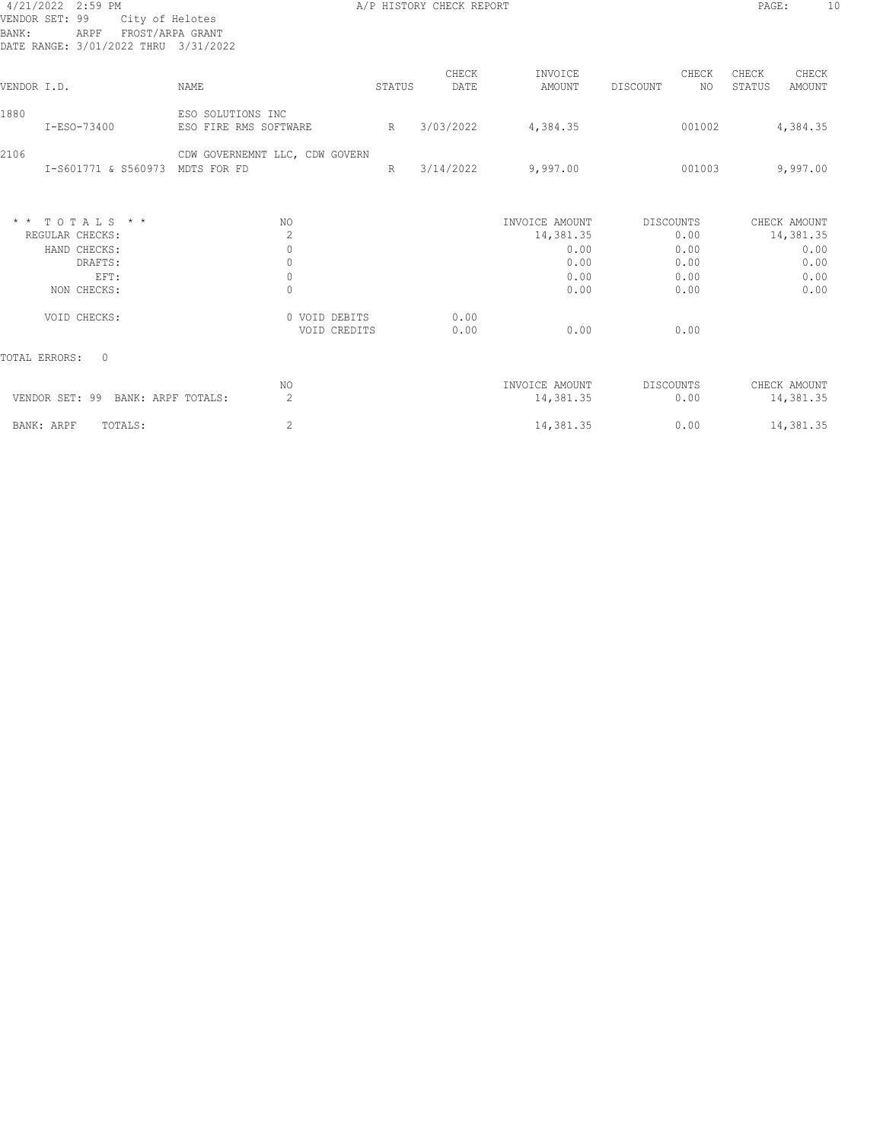# VENDOR SET: 99 City of Helotes BANK: ARPF FROST/ARPA GRANT DATE RANGE: 3/01/2022 THRU 3/31/2022

A/P HISTORY CHECK REPORT PAGE: 10

| DATE KANGE: 3/UI/ZUZZ THKU                                                                            | 3/31/2022                                                                                                          |        |               |                                                                     |                                                           |                                                           |
|-------------------------------------------------------------------------------------------------------|--------------------------------------------------------------------------------------------------------------------|--------|---------------|---------------------------------------------------------------------|-----------------------------------------------------------|-----------------------------------------------------------|
| VENDOR I.D.                                                                                           | NAME                                                                                                               | STATUS | CHECK<br>DATE | INVOICE<br>AMOUNT                                                   | CHECK<br>NO.<br>DISCOUNT                                  | CHECK<br>CHECK<br>STATUS<br>AMOUNT                        |
| 1880<br>I-ESO-73400                                                                                   | ESO SOLUTIONS INC<br>ESO FIRE RMS SOFTWARE                                                                         | R      | 3/03/2022     | 4,384.35                                                            | 001002                                                    | 4,384.35                                                  |
| 2106<br>I-S601771 & S560973                                                                           | CDW GOVERNEMNT LLC, CDW GOVERN<br>MDTS FOR FD                                                                      | R      | 3/14/2022     | 9,997.00                                                            | 001003                                                    | 9,997.00                                                  |
| $*$ * TOTALS * *<br>REGULAR CHECKS:<br>HAND CHECKS:<br>DRAFTS:<br>EFT:<br>NON CHECKS:<br>VOID CHECKS: | NO.<br>$\overline{c}$<br>$\mathbb O$<br>$\mathbb O$<br>$\mathbb O$<br>$\mathbf 0$<br>0 VOID DEBITS<br>VOID CREDITS |        | 0.00<br>0.00  | INVOICE AMOUNT<br>14,381.35<br>0.00<br>0.00<br>0.00<br>0.00<br>0.00 | DISCOUNTS<br>0.00<br>0.00<br>0.00<br>0.00<br>0.00<br>0.00 | CHECK AMOUNT<br>14,381.35<br>0.00<br>0.00<br>0.00<br>0.00 |
| TOTAL ERRORS:<br>$\Omega$                                                                             |                                                                                                                    |        |               |                                                                     |                                                           |                                                           |
| VENDOR SET: 99 BANK: ARPF TOTALS:                                                                     | NO.<br>$\overline{2}$                                                                                              |        |               | INVOICE AMOUNT<br>14,381.35                                         | <b>DISCOUNTS</b><br>0.00                                  | CHECK AMOUNT<br>14,381.35                                 |
| BANK: ARPF<br>TOTALS:                                                                                 | $\overline{c}$                                                                                                     |        |               | 14,381.35                                                           | 0.00                                                      | 14,381.35                                                 |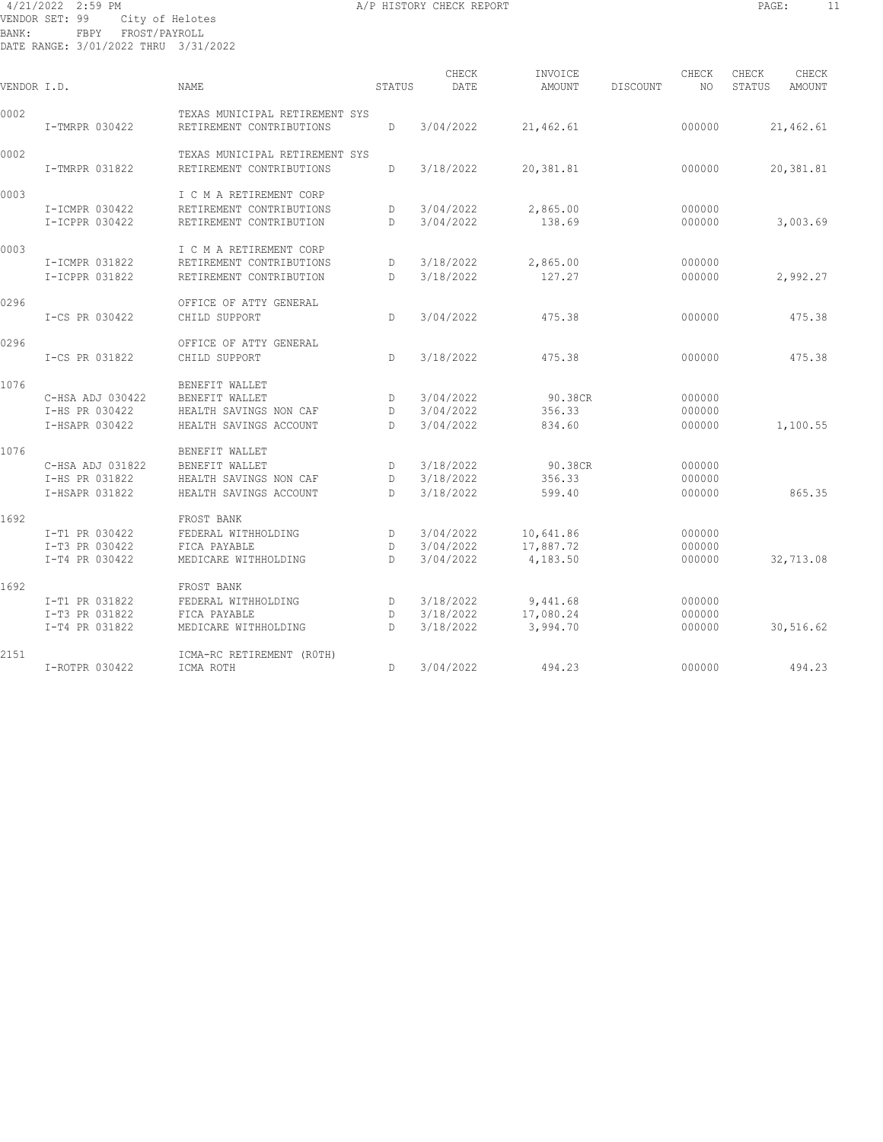#### 4/21/2022 2:59 PM A/P HISTORY CHECK REPORT PAGE: 11 VENDOR SET: 99 City of Helotes BANK: FBPY FROST/PAYROLL DATE RANGE: 3/01/2022 THRU 3/31/2022

| VENDOR I.D. |                  | <b>NAME</b>                                                | STATUS | CHECK<br>DATE | INVOICE<br>AMOUNT | DISCOUNT | CHECK<br>NO. | CHECK<br>STATUS | CHECK<br>AMOUNT |
|-------------|------------------|------------------------------------------------------------|--------|---------------|-------------------|----------|--------------|-----------------|-----------------|
| 0002        | I-TMRPR 030422   | TEXAS MUNICIPAL RETIREMENT SYS<br>RETIREMENT CONTRIBUTIONS | D      | 3/04/2022     | 21,462.61         |          | 000000       |                 | 21,462.61       |
| 0002        |                  | TEXAS MUNICIPAL RETIREMENT SYS                             |        |               |                   |          |              |                 |                 |
|             | I-TMRPR 031822   | RETIREMENT CONTRIBUTIONS                                   | D      | 3/18/2022     | 20,381.81         |          | 000000       |                 | 20,381.81       |
| 0003        |                  | I C M A RETIREMENT CORP                                    |        |               |                   |          |              |                 |                 |
|             | I-ICMPR 030422   | RETIREMENT CONTRIBUTIONS                                   | D      | 3/04/2022     | 2,865.00          |          | 000000       |                 |                 |
|             | I-ICPPR 030422   | RETIREMENT CONTRIBUTION                                    | D.     | 3/04/2022     | 138.69            |          | 000000       |                 | 3,003.69        |
| 0003        |                  | I C M A RETIREMENT CORP                                    |        |               |                   |          |              |                 |                 |
|             | I-ICMPR 031822   | RETIREMENT CONTRIBUTIONS                                   | D      | 3/18/2022     | 2,865.00          |          | 000000       |                 |                 |
|             | I-ICPPR 031822   | RETIREMENT CONTRIBUTION                                    | D      | 3/18/2022     | 127.27            |          | 000000       |                 | 2,992.27        |
| 0296        |                  | OFFICE OF ATTY GENERAL                                     |        |               |                   |          |              |                 |                 |
|             | I-CS PR 030422   | CHILD SUPPORT                                              | D.     | 3/04/2022     | 475.38            |          | 000000       |                 | 475.38          |
| 0296        |                  | OFFICE OF ATTY GENERAL                                     |        |               |                   |          |              |                 |                 |
|             | I-CS PR 031822   | CHILD SUPPORT                                              | D      | 3/18/2022     | 475.38            |          | 000000       |                 | 475.38          |
| 1076        |                  | BENEFIT WALLET                                             |        |               |                   |          |              |                 |                 |
|             | C-HSA ADJ 030422 | BENEFIT WALLET                                             | D      | 3/04/2022     | 90.38CR           |          | 000000       |                 |                 |
|             | I-HS PR 030422   | HEALTH SAVINGS NON CAF                                     | D      | 3/04/2022     | 356.33            |          | 000000       |                 |                 |
|             | I-HSAPR 030422   | HEALTH SAVINGS ACCOUNT                                     | D.     | 3/04/2022     | 834.60            |          | 000000       |                 | 1,100.55        |
| 1076        |                  | BENEFIT WALLET                                             |        |               |                   |          |              |                 |                 |
|             | C-HSA ADJ 031822 | BENEFIT WALLET                                             | D      | 3/18/2022     | 90.38CR           |          | 000000       |                 |                 |
|             | I-HS PR 031822   | HEALTH SAVINGS NON CAF                                     | D      | 3/18/2022     | 356.33            |          | 000000       |                 |                 |
|             | I-HSAPR 031822   | HEALTH SAVINGS ACCOUNT                                     | D.     | 3/18/2022     | 599.40            |          | 000000       |                 | 865.35          |
| 1692        |                  | FROST BANK                                                 |        |               |                   |          |              |                 |                 |
|             | I-T1 PR 030422   | FEDERAL WITHHOLDING                                        | D      | 3/04/2022     | 10,641.86         |          | 000000       |                 |                 |
|             | I-T3 PR 030422   | FICA PAYABLE                                               | D      | 3/04/2022     | 17,887.72         |          | 000000       |                 |                 |
|             | I-T4 PR 030422   | MEDICARE WITHHOLDING                                       | D.     | 3/04/2022     | 4,183.50          |          | 000000       |                 | 32,713.08       |
| 1692        |                  | FROST BANK                                                 |        |               |                   |          |              |                 |                 |
|             | I-T1 PR 031822   | FEDERAL WITHHOLDING                                        | D      | 3/18/2022     | 9,441.68          |          | 000000       |                 |                 |
|             | I-T3 PR 031822   | FICA PAYABLE                                               | D      | 3/18/2022     | 17,080.24         |          | 000000       |                 |                 |
|             | I-T4 PR 031822   | MEDICARE WITHHOLDING                                       | D.     | 3/18/2022     | 3,994.70          |          | 000000       |                 | 30,516.62       |
| 2151        |                  | ICMA-RC RETIREMENT (ROTH)                                  |        |               |                   |          |              |                 |                 |
|             | I-ROTPR 030422   | ICMA ROTH                                                  | D.     | 3/04/2022     | 494.23            |          | 000000       |                 | 494.23          |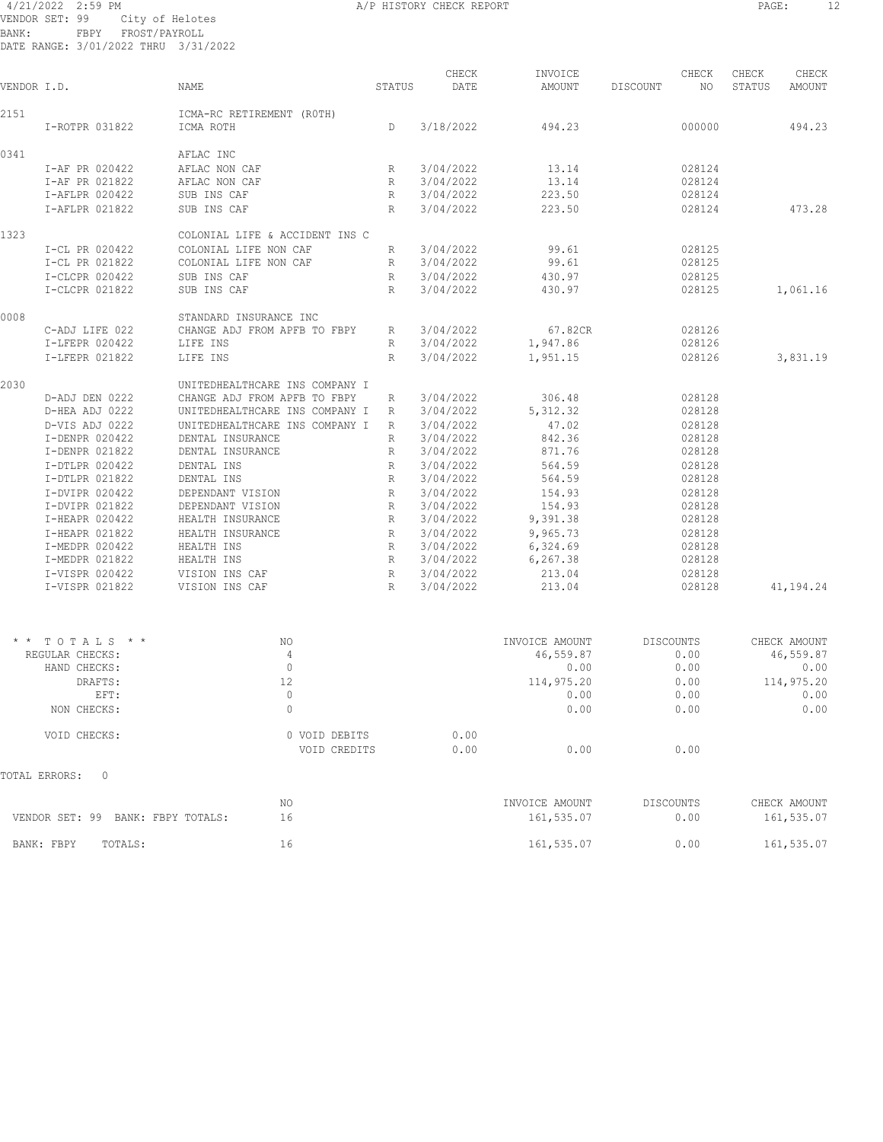### 4/21/2022 2:59 PM A/P HISTORY CHECK REPORT PAGE: 12 VENDOR SET: 99 City of Helotes BANK: FBPY FROST/PAYROLL

|             | DATE RANGE: 3/01/2022 THRU 3/31/2022 |                                |             |               |                   |                          |                                    |
|-------------|--------------------------------------|--------------------------------|-------------|---------------|-------------------|--------------------------|------------------------------------|
| VENDOR I.D. |                                      | NAME                           | STATUS      | CHECK<br>DATE | INVOICE<br>AMOUNT | CHECK<br>DISCOUNT<br>NO. | CHECK<br>CHECK<br>STATUS<br>AMOUNT |
| 2151        |                                      | ICMA-RC RETIREMENT (ROTH)      |             |               |                   |                          |                                    |
|             | I-ROTPR 031822                       | ICMA ROTH                      | D           | 3/18/2022     | 494.23            | 000000                   | 494.23                             |
| 0341        |                                      | AFLAC INC                      |             |               |                   |                          |                                    |
|             | I-AF PR 020422                       | AFLAC NON CAF                  | R           | 3/04/2022     | 13.14             | 028124                   |                                    |
|             | I-AF PR 021822                       | AFLAC NON CAF                  | R           | 3/04/2022     | 13.14             | 028124                   |                                    |
|             | I-AFLPR 020422                       | SUB INS CAF                    | R           | 3/04/2022     | 223.50            | 028124                   |                                    |
|             | I-AFLPR 021822                       | SUB INS CAF                    | $R_{\perp}$ | 3/04/2022     | 223.50            | 028124                   | 473.28                             |
| 1323        |                                      | COLONIAL LIFE & ACCIDENT INS C |             |               |                   |                          |                                    |
|             | I-CL PR 020422                       | COLONIAL LIFE NON CAF          | R           | 3/04/2022     | 99.61             | 028125                   |                                    |
|             | I-CL PR 021822                       | COLONIAL LIFE NON CAF          | R           | 3/04/2022     | 99.61             | 028125                   |                                    |
|             | I-CLCPR 020422                       | SUB INS CAF                    | R           | 3/04/2022     | 430.97            | 028125                   |                                    |
|             | I-CLCPR 021822                       | SUB INS CAF                    | $R_{\perp}$ | 3/04/2022     | 430.97            | 028125                   | 1,061.16                           |
| 0008        |                                      | STANDARD INSURANCE INC         |             |               |                   |                          |                                    |
|             | C-ADJ LIFE 022                       | CHANGE ADJ FROM APFB TO FBPY   | R           | 3/04/2022     | 67.82CR           | 028126                   |                                    |
|             | I-LFEPR 020422                       | LIFE INS                       | R           | 3/04/2022     | 1,947.86          | 028126                   |                                    |
|             | I-LFEPR 021822                       | LIFE INS                       | $R_{\perp}$ | 3/04/2022     | 1,951.15          | 028126                   | 3,831.19                           |
| 2030        |                                      | UNITEDHEALTHCARE INS COMPANY I |             |               |                   |                          |                                    |
|             | D-ADJ DEN 0222                       | CHANGE ADJ FROM APFB TO FBPY   | R           | 3/04/2022     | 306.48            | 028128                   |                                    |
|             | D-HEA ADJ 0222                       | UNITEDHEALTHCARE INS COMPANY I | R           | 3/04/2022     | 5, 312.32         | 028128                   |                                    |
|             | D-VIS ADJ 0222                       | UNITEDHEALTHCARE INS COMPANY I | R           | 3/04/2022     | 47.02             | 028128                   |                                    |
|             | I-DENPR 020422                       | DENTAL INSURANCE               | R           | 3/04/2022     | 842.36            | 028128                   |                                    |
|             | I-DENPR 021822                       | DENTAL INSURANCE               | R           | 3/04/2022     | 871.76            | 028128                   |                                    |
|             | I-DTLPR 020422                       | DENTAL INS                     | R           | 3/04/2022     | 564.59            | 028128                   |                                    |
|             | I-DTLPR 021822                       | DENTAL INS                     | R           | 3/04/2022     | 564.59            | 028128                   |                                    |
|             | I-DVIPR 020422                       | DEPENDANT VISION               | R           | 3/04/2022     | 154.93            | 028128                   |                                    |
|             | I-DVIPR 021822                       | DEPENDANT VISION               | R           | 3/04/2022     | 154.93            | 028128                   |                                    |
|             | I-HEAPR 020422                       | HEALTH INSURANCE               | R           | 3/04/2022     | 9,391.38          | 028128                   |                                    |
|             | I-HEAPR 021822                       | HEALTH INSURANCE               | R           | 3/04/2022     | 9,965.73          | 028128                   |                                    |
|             | I-MEDPR 020422                       | HEALTH INS                     | $R_{\perp}$ | 3/04/2022     | 6,324.69          | 028128                   |                                    |
|             | I-MEDPR 021822                       | HEALTH INS                     | $R_{\perp}$ | 3/04/2022     | 6, 267.38         | 028128                   |                                    |
|             | I-VISPR 020422                       | VISION INS CAF                 | R           | 3/04/2022     | 213.04            | 028128                   |                                    |
|             | I-VISPR 021822                       | VISION INS CAF                 | R           | 3/04/2022     | 213.04            | 028128                   | 41,194.24                          |
|             |                                      |                                |             |               |                   |                          |                                    |
|             | * * TOTALS * *                       | NO.                            |             |               | INVOICE AMOUNT    | <b>DISCOUNTS</b>         | CHECK AMOUNT                       |
|             | REGULAR CHECKS:                      | $\overline{4}$                 |             |               | 46,559.87         | 0.00                     | 46,559.87                          |
|             | HAND CHECKS:                         | $\overline{0}$                 |             |               | 0.00              | 0.00                     | 0.00                               |
|             | DRAFTS:                              | 12                             |             |               | 114,975.20        | 0.00                     | 114,975.20                         |
|             | EFT:                                 | $\mathbb O$                    |             |               | 0.00              | 0.00                     | 0.00                               |
|             | NON CHECKS:                          | $\mathbf{0}$                   |             |               | 0.00              | 0.00                     | 0.00                               |
|             | VOID CHECKS:                         | 0 VOID DEBITS                  |             | 0.00          |                   |                          |                                    |
|             |                                      | VOID CREDITS                   |             | 0.00          | 0.00              | 0.00                     |                                    |
|             | TOTAL ERRORS:<br>0                   |                                |             |               |                   |                          |                                    |
|             |                                      | NO.                            |             |               | INVOICE AMOUNT    | DISCOUNTS                | CHECK AMOUNT                       |
|             | VENDOR SET: 99 BANK: FBPY TOTALS:    | 16                             |             |               | 161,535.07        | 0.00                     | 161,535.07                         |
|             | BANK: FBPY<br>TOTALS:                | 16                             |             |               | 161,535.07        | 0.00                     | 161,535.07                         |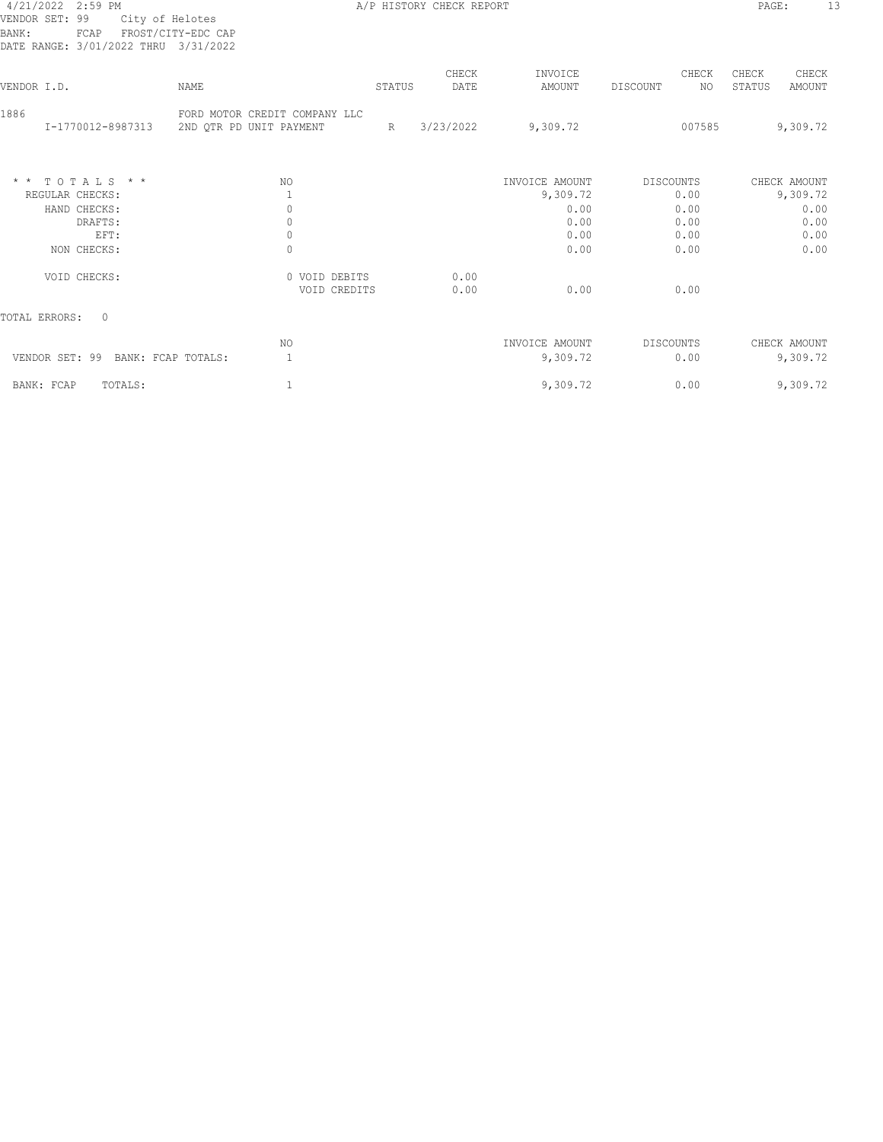#### 4/21/2022 2:59 PM A/P HISTORY CHECK REPORT PAGE: 13 VENDOR SET: 99 City of Helotes BANK: FCAP FROST/CITY-EDC CAP DATE RANGE: 3/01/2022 THRU 3/31/2022

| VENDOR I.D.               | NAME                                                     | STATUS | CHECK<br>DATE | INVOICE<br>AMOUNT | CHECK<br>NO.<br>DISCOUNT | CHECK<br>CHECK<br>STATUS<br>AMOUNT |
|---------------------------|----------------------------------------------------------|--------|---------------|-------------------|--------------------------|------------------------------------|
| 1886<br>I-1770012-8987313 | FORD MOTOR CREDIT COMPANY LLC<br>2ND QTR PD UNIT PAYMENT | R      | 3/23/2022     | 9,309.72          | 007585                   | 9,309.72                           |
| $*$ * TOTALS * *          | NO.                                                      |        |               | INVOICE AMOUNT    | DISCOUNTS                | CHECK AMOUNT                       |
| REGULAR CHECKS:           |                                                          |        |               | 9,309.72          | 0.00                     | 9,309.72                           |
| HAND CHECKS:<br>DRAFTS:   | 0<br>0                                                   |        |               | 0.00<br>0.00      | 0.00<br>0.00             | 0.00<br>0.00                       |
| EFT:                      | $\mathbb O$                                              |        |               | 0.00              | 0.00                     | 0.00                               |
| NON CHECKS:               | $\mathbf{0}$                                             |        |               | 0.00              | 0.00                     | 0.00                               |
| VOID CHECKS:              | 0 VOID DEBITS<br>VOID CREDITS                            |        | 0.00<br>0.00  | 0.00              | 0.00                     |                                    |
| $\Omega$<br>TOTAL ERRORS: |                                                          |        |               |                   |                          |                                    |
|                           | NO.                                                      |        |               | INVOICE AMOUNT    | DISCOUNTS                | CHECK AMOUNT                       |
| VENDOR SET: 99            | BANK: FCAP TOTALS:                                       |        |               | 9,309.72          | 0.00                     | 9,309.72                           |
| BANK: FCAP<br>TOTALS:     |                                                          |        |               | 9,309.72          | 0.00                     | 9,309.72                           |
|                           |                                                          |        |               |                   |                          |                                    |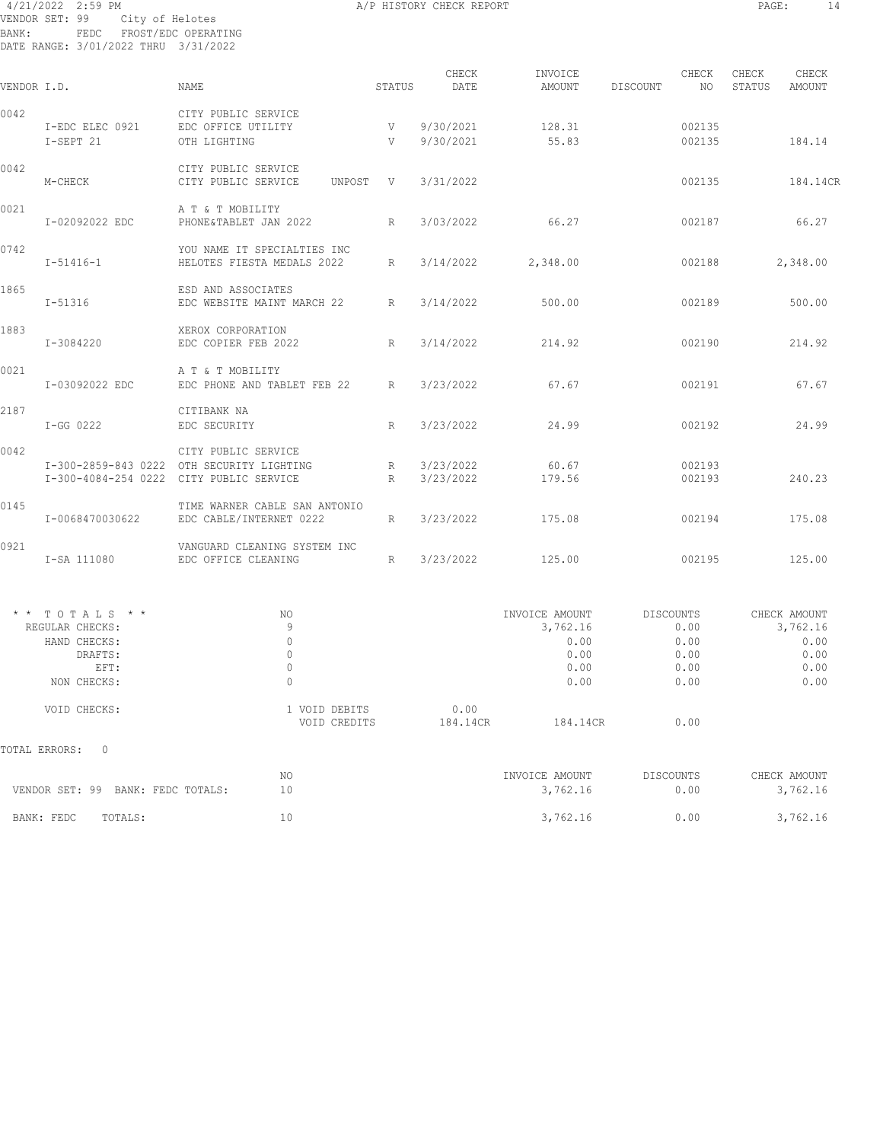#### 4/21/2022 2:59 PM A/P HISTORY CHECK REPORT PAGE: 14 VENDOR SET: 99 City of Helotes BANK: FEDC FROST/EDC OPERATING DATE RANGE: 3/01/2022 THRU 3/31/2022

|             |                                                                                     |                                                                                                             |                 | CHECK                  | INVOICE                                                    | CHECK                                             | CHECK<br>CHECK                                           |
|-------------|-------------------------------------------------------------------------------------|-------------------------------------------------------------------------------------------------------------|-----------------|------------------------|------------------------------------------------------------|---------------------------------------------------|----------------------------------------------------------|
| VENDOR I.D. |                                                                                     | <b>NAME</b>                                                                                                 | STATUS          | DATE                   | AMOUNT                                                     | NO<br>DISCOUNT                                    | STATUS<br>AMOUNT                                         |
| 0042        | I-EDC ELEC 0921<br>I-SEPT 21                                                        | CITY PUBLIC SERVICE<br>EDC OFFICE UTILITY<br>OTH LIGHTING                                                   | V<br>V          | 9/30/2021<br>9/30/2021 | 128.31<br>55.83                                            | 002135<br>002135                                  | 184.14                                                   |
| 0042        | M-CHECK                                                                             | CITY PUBLIC SERVICE<br>CITY PUBLIC SERVICE<br>UNPOST V                                                      |                 | 3/31/2022              |                                                            | 002135                                            | 184.14CR                                                 |
| 0021        | I-02092022 EDC                                                                      | A T & T MOBILITY<br>PHONE&TABLET JAN 2022 R                                                                 |                 | 3/03/2022              | 66.27                                                      | 002187                                            | 66.27                                                    |
| 0742        | $I - 51416 - 1$                                                                     | YOU NAME IT SPECIALTIES INC<br>HELOTES FIESTA MEDALS 2022                                                   | R               | 3/14/2022              | 2,348.00                                                   | 002188                                            | 2,348.00                                                 |
| 1865        | I-51316                                                                             | ESD AND ASSOCIATES<br>EDC WEBSITE MAINT MARCH 22                                                            | R               | 3/14/2022              | 500.00                                                     | 002189                                            | 500.00                                                   |
| 1883        | I-3084220                                                                           | XEROX CORPORATION<br>EDC COPIER FEB 2022                                                                    | $R_{\parallel}$ | 3/14/2022              | 214.92                                                     | 002190                                            | 214.92                                                   |
| 0021        | I-03092022 EDC                                                                      | A T & T MOBILITY<br>EDC PHONE AND TABLET FEB 22 R                                                           |                 | 3/23/2022              | 67.67                                                      | 002191                                            | 67.67                                                    |
| 2187        | I-GG 0222                                                                           | CITIBANK NA<br>EDC SECURITY                                                                                 | R               | 3/23/2022              | 24.99                                                      | 002192                                            | 24.99                                                    |
| 0042        |                                                                                     | CITY PUBLIC SERVICE<br>I-300-2859-843 0222 OTH SECURITY LIGHTING<br>I-300-4084-254 0222 CITY PUBLIC SERVICE | R<br>R          | 3/23/2022<br>3/23/2022 | 60.67<br>179.56                                            | 002193<br>002193                                  | 240.23                                                   |
| 0145        | I-0068470030622                                                                     | TIME WARNER CABLE SAN ANTONIO<br>EDC CABLE/INTERNET 0222                                                    | $R_{\perp}$     | 3/23/2022              | 175.08                                                     | 002194                                            | 175.08                                                   |
| 0921        | I-SA 111080                                                                         | VANGUARD CLEANING SYSTEM INC<br>EDC OFFICE CLEANING                                                         | R               | 3/23/2022              | 125.00                                                     | 002195                                            | 125.00                                                   |
|             | * * TOTALS * *<br>REGULAR CHECKS:<br>HAND CHECKS:<br>DRAFTS:<br>EFT:<br>NON CHECKS: | NO<br>9<br>$\circ$<br>$\circ$<br>$\mathbb O$<br>$\theta$                                                    |                 |                        | INVOICE AMOUNT<br>3,762.16<br>0.00<br>0.00<br>0.00<br>0.00 | DISCOUNTS<br>0.00<br>0.00<br>0.00<br>0.00<br>0.00 | CHECK AMOUNT<br>3,762.16<br>0.00<br>0.00<br>0.00<br>0.00 |
|             | VOID CHECKS:                                                                        | 1 VOID DEBITS<br>VOID CREDITS                                                                               |                 | 0.00<br>184.14CR       | 184.14CR                                                   | 0.00                                              |                                                          |
|             | TOTAL ERRORS:<br>$\mathbf{0}$                                                       |                                                                                                             |                 |                        |                                                            |                                                   |                                                          |
|             | VENDOR SET: 99 BANK: FEDC TOTALS:                                                   | NO<br>10                                                                                                    |                 |                        | INVOICE AMOUNT<br>3,762.16                                 | DISCOUNTS<br>0.00                                 | CHECK AMOUNT<br>3,762.16                                 |
|             | BANK: FEDC<br>TOTALS:                                                               | 10                                                                                                          |                 |                        | 3,762.16                                                   | 0.00                                              | 3,762.16                                                 |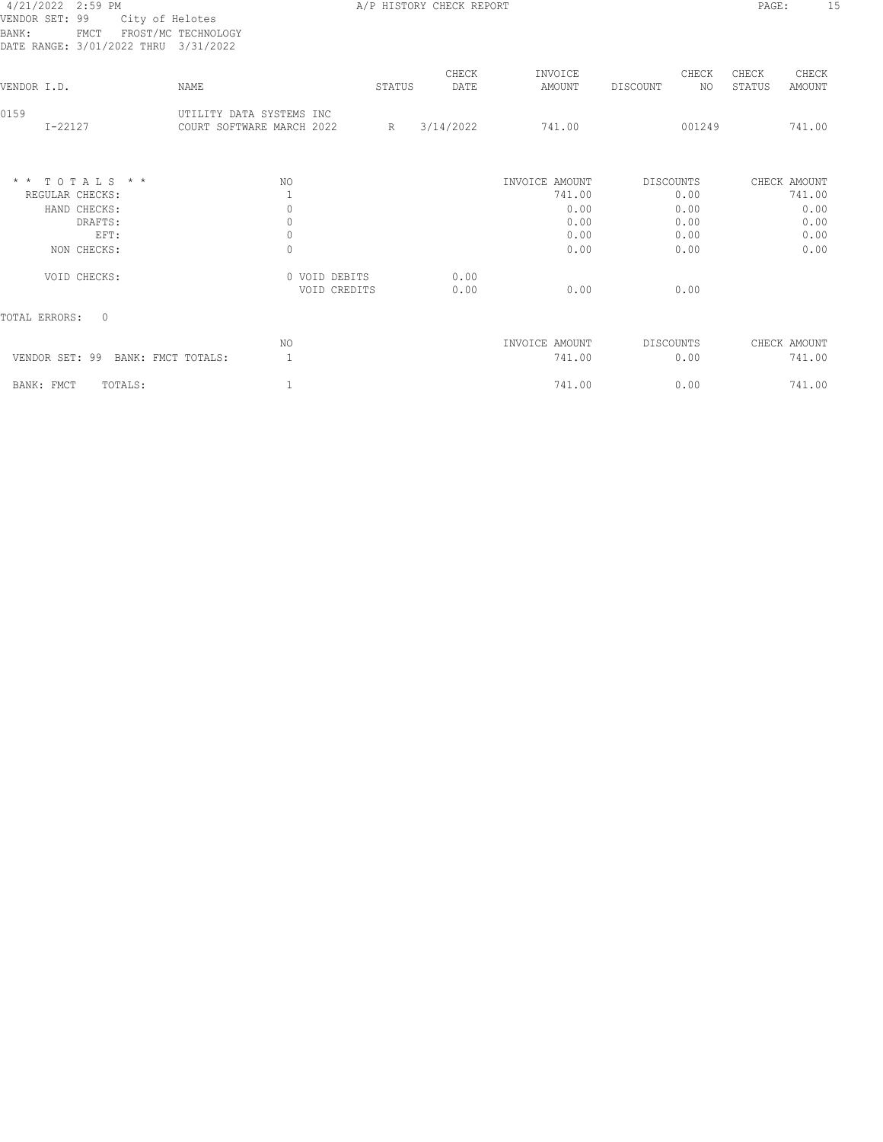## 4/21/2022 2:59 PM A/P HISTORY CHECK REPORT PAGE: 15 VENDOR SET: 99 City of Helotes BANK: FMCT FROST/MC TECHNOLOGY

| ٠<br>-<br>$\sim$<br>v |
|-----------------------|
|                       |

| -----<br>DATE RANGE: 3/01/2022 THRU 3/31/2022                          |                                                       |                               |        |               |                                                  |                                           |                                                |
|------------------------------------------------------------------------|-------------------------------------------------------|-------------------------------|--------|---------------|--------------------------------------------------|-------------------------------------------|------------------------------------------------|
| VENDOR I.D.                                                            | NAME                                                  |                               | STATUS | CHECK<br>DATE | INVOICE<br>AMOUNT                                | CHECK<br>NO<br>DISCOUNT                   | CHECK<br>CHECK<br>STATUS<br><b>AMOUNT</b>      |
| 0159<br>$I - 22127$                                                    | UTILITY DATA SYSTEMS INC<br>COURT SOFTWARE MARCH 2022 | R                             |        | 3/14/2022     | 741.00                                           | 001249                                    | 741.00                                         |
| $*$ * TOTALS * *<br>REGULAR CHECKS:<br>HAND CHECKS:<br>DRAFTS:<br>EFT: | NO.<br>0<br>0<br>$\mathbf{0}$                         |                               |        |               | INVOICE AMOUNT<br>741.00<br>0.00<br>0.00<br>0.00 | DISCOUNTS<br>0.00<br>0.00<br>0.00<br>0.00 | CHECK AMOUNT<br>741.00<br>0.00<br>0.00<br>0.00 |
| NON CHECKS:<br>VOID CHECKS:                                            | $\Omega$                                              | 0 VOID DEBITS<br>VOID CREDITS |        | 0.00<br>0.00  | 0.00<br>0.00                                     | 0.00<br>0.00                              | 0.00                                           |
| TOTAL ERRORS:<br>$\Omega$                                              |                                                       |                               |        |               |                                                  |                                           |                                                |
| VENDOR SET: 99 BANK: FMCT TOTALS:                                      | NO.<br>$\mathbf{1}$                                   |                               |        |               | INVOICE AMOUNT<br>741.00                         | DISCOUNTS<br>0.00                         | CHECK AMOUNT<br>741.00                         |
| BANK: FMCT<br>TOTALS:                                                  |                                                       |                               |        |               | 741.00                                           | 0.00                                      | 741.00                                         |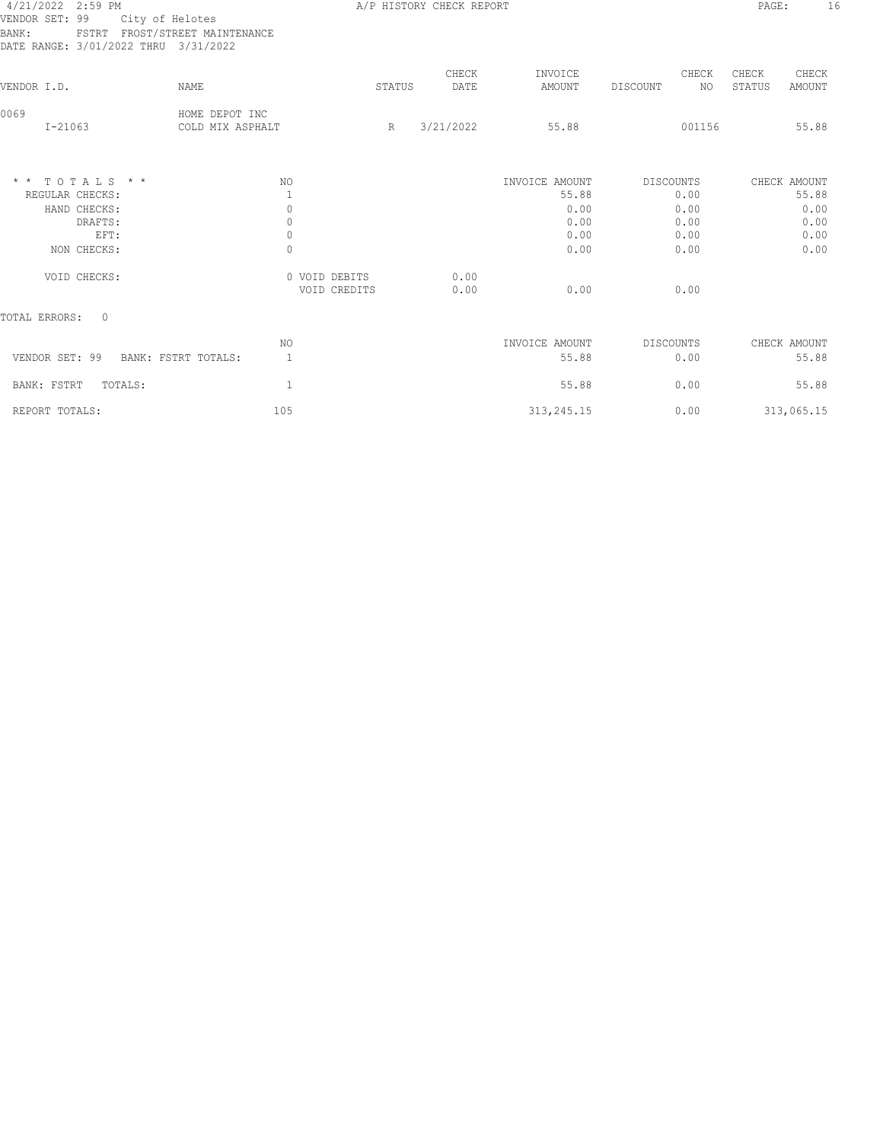| * * TOTALS * *                                                  |                 |                                    | NO.    |                          | INVOICE AMOUNT<br>-- - - - | DISCOUNTS | - - -       |                 | CHECK AMOUNT    |
|-----------------------------------------------------------------|-----------------|------------------------------------|--------|--------------------------|----------------------------|-----------|-------------|-----------------|-----------------|
| 0069<br>$I - 21063$                                             |                 | HOME DEPOT INC<br>COLD MIX ASPHALT | R      | 3/21/2022                | 55.88                      |           | 001156      |                 | 55.88           |
| VENDOR I.D.                                                     |                 | NAME                               | STATUS | CHECK<br>DATE            | INVOICE<br>AMOUNT          | DISCOUNT  | CHECK<br>NO | CHECK<br>STATUS | CHECK<br>AMOUNT |
| VENDOR SET: 99<br>BANK:<br>DATE RANGE: 3/01/2022 THRU 3/31/2022 | City of Helotes | FSTRT FROST/STREET MAINTENANCE     |        |                          |                            |           |             |                 |                 |
| 4/21/2022 2:59 PM                                               |                 |                                    |        | A/P HISTORY CHECK REPORT |                            |           |             | PAGE:           |                 |

| $\star$ $\star$<br>$TOTALS$ * * | NO                            | INVOICE AMOUNT       | DISCOUNTS        | CHECK AMOUNT |
|---------------------------------|-------------------------------|----------------------|------------------|--------------|
| REGULAR CHECKS:                 |                               | 55.88                | 0.00             | 55.88        |
| HAND CHECKS:                    |                               | 0.00                 | 0.00             | 0.00         |
| DRAFTS:                         |                               | 0.00                 | 0.00             | 0.00         |
| EFT:                            |                               | 0.00                 | 0.00             | 0.00         |
| NON CHECKS:                     |                               | 0.00                 | 0.00             | 0.00         |
| VOID CHECKS:                    | 0 VOID DEBITS<br>VOID CREDITS | 0.00<br>0.00<br>0.00 | 0.00             |              |
| TOTAL ERRORS:<br>0              |                               |                      |                  |              |
|                                 | N0                            | INVOICE AMOUNT       | <b>DISCOUNTS</b> | CHECK AMOUNT |

|                                       | 19 U | TIAATTE ULIOPIAT | <b>DIUCOUNIU</b> | CHECIA APIOUNT |
|---------------------------------------|------|------------------|------------------|----------------|
| VENDOR SET: 99<br>BANK: FSTRT TOTALS: |      | 55.88            | 0.00             | 55.88          |
| TOTALS:<br>BANK: FSTRT                |      | 55.88            | 0.00             | 55.88          |
| REPORT TOTALS:                        | 105  | 313,245.15       | 0.00             | 313,065.15     |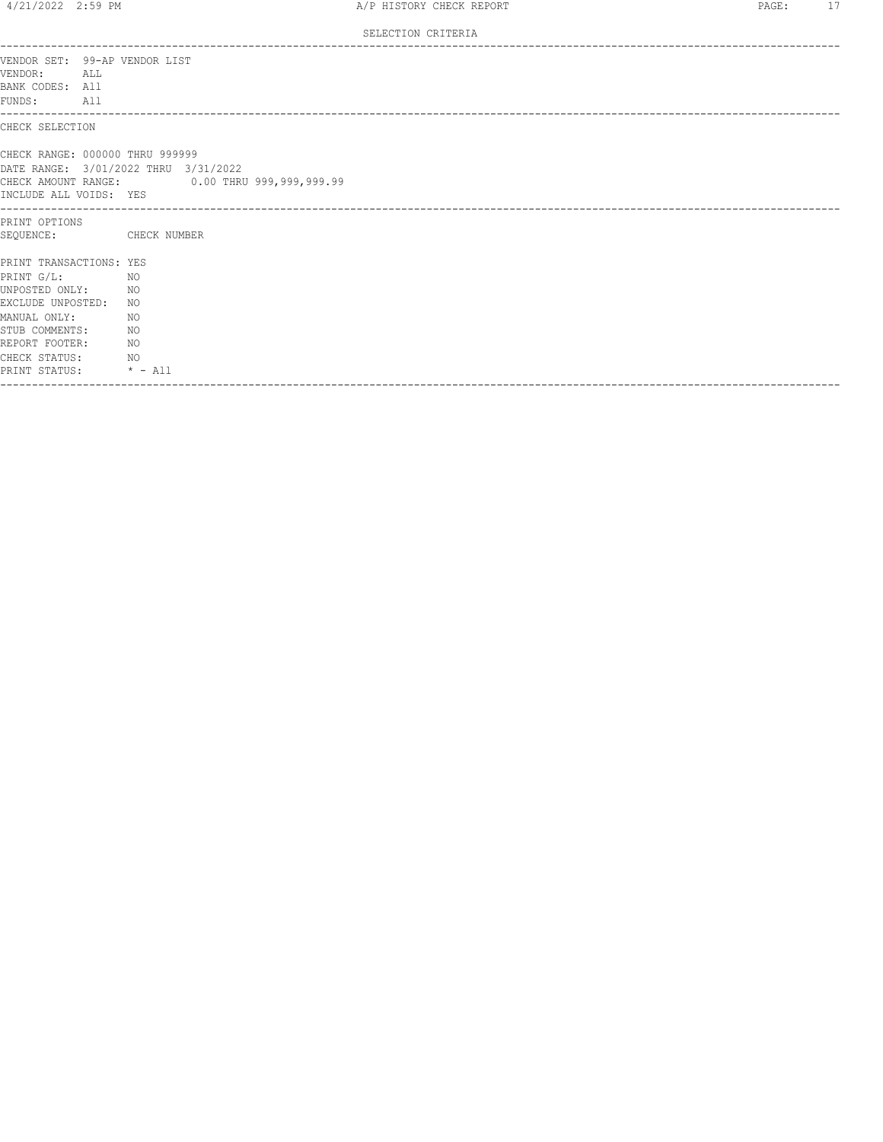SELECTION CRITERIA

| VENDOR SET: 99-AP VENDOR LIST<br>VENDOR:<br>ALL<br>BANK CODES: All<br>FUNDS: All                                                                                                                                             |                                                                                      |
|------------------------------------------------------------------------------------------------------------------------------------------------------------------------------------------------------------------------------|--------------------------------------------------------------------------------------|
| CHECK SELECTION                                                                                                                                                                                                              |                                                                                      |
| CHECK RANGE: 000000 THRU 999999<br>INCLUDE ALL VOIDS: YES                                                                                                                                                                    | DATE RANGE: 3/01/2022 THRU 3/31/2022<br>CHECK AMOUNT RANGE: 0.00 THRU 999,999,999.99 |
| PRINT OPTIONS<br>SEQUENCE: CHECK NUMBER                                                                                                                                                                                      |                                                                                      |
| PRINT TRANSACTIONS: YES<br>PRINT G/L:<br>NO <sub>N</sub><br>UNPOSTED ONLY: NO<br>EXCLUDE UNPOSTED: NO<br>MANUAL ONLY:<br>STUB COMMENTS:<br>NO <sub>N</sub><br>REPORT FOOTER: NO<br>CHECK STATUS: NO<br>PRINT STATUS: * - All | NO                                                                                   |
| ------------------------                                                                                                                                                                                                     |                                                                                      |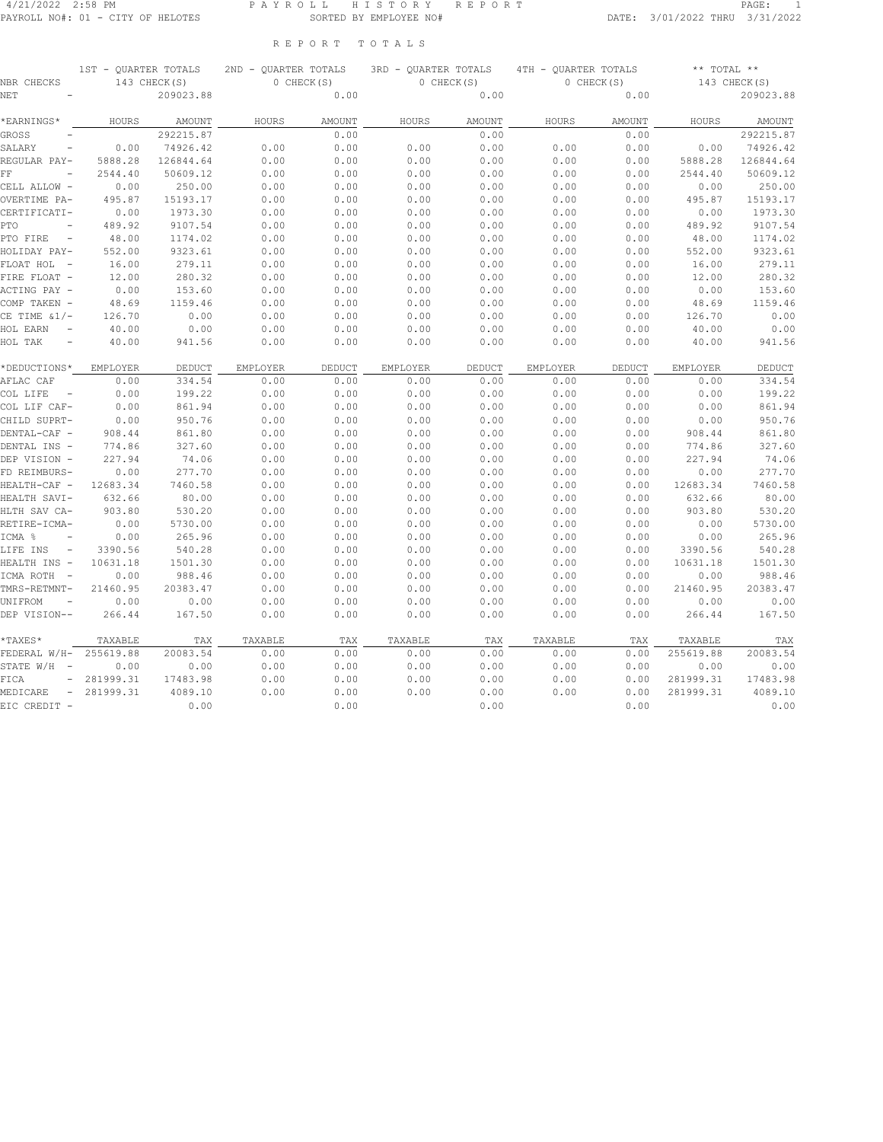#### 4/21/2022 2:58 PM P A Y R O L L H I S T O R Y R E P O R T PAGE: 1 PAYROLL NO#: 01 - CITY OF HELOTES SORTED BY EMPLOYEE NO# DATE: 3/01/2022 THRU 3/31/2022

R E P O R T T O T A L S

| NBR CHECKS                                   | 1ST - QUARTER TOTALS | 143 CHECK(S) | 2ND - QUARTER TOTALS | 0 CHECK(S) | 3RD - QUARTER TOTALS | 0 CHECK(S) | 4TH - OUARTER TOTALS | 0 CHECK(S) | $***$ TOTAL $**$ | 143 CHECK(S) |
|----------------------------------------------|----------------------|--------------|----------------------|------------|----------------------|------------|----------------------|------------|------------------|--------------|
| <b>NET</b>                                   |                      | 209023.88    |                      | 0.00       |                      | 0.00       |                      | 0.00       |                  | 209023.88    |
| *EARNINGS*                                   | HOURS                | AMOUNT       | HOURS                | AMOUNT     | HOURS                | AMOUNT     | HOURS                | AMOUNT     | HOURS            | AMOUNT       |
| <b>GROSS</b>                                 |                      | 292215.87    |                      | 0.00       |                      | 0.00       |                      | 0.00       |                  | 292215.87    |
| SALARY<br>$\overline{\phantom{m}}$           | 0.00                 | 74926.42     | 0.00                 | 0.00       | 0.00                 | 0.00       | 0.00                 | 0.00       | 0.00             | 74926.42     |
| REGULAR PAY-                                 | 5888.28              | 126844.64    | 0.00                 | 0.00       | 0.00                 | 0.00       | 0.00                 | 0.00       | 5888.28          | 126844.64    |
| FF                                           | 2544.40              | 50609.12     | 0.00                 | 0.00       | 0.00                 | 0.00       | 0.00                 | 0.00       | 2544.40          | 50609.12     |
| CELL ALLOW -                                 | 0.00                 | 250.00       | 0.00                 | 0.00       | 0.00                 | 0.00       | 0.00                 | 0.00       | 0.00             | 250.00       |
| OVERTIME PA-                                 | 495.87               | 15193.17     | 0.00                 | 0.00       | 0.00                 | 0.00       | 0.00                 | 0.00       | 495.87           | 15193.17     |
| CERTIFICATI-                                 | 0.00                 | 1973.30      | 0.00                 | 0.00       | 0.00                 | 0.00       | 0.00                 | 0.00       | 0.00             | 1973.30      |
| PTO                                          | 489.92               | 9107.54      | 0.00                 | 0.00       | 0.00                 | 0.00       | 0.00                 | 0.00       | 489.92           | 9107.54      |
| PTO FIRE                                     | 48.00                | 1174.02      | 0.00                 | 0.00       | 0.00                 | 0.00       | 0.00                 | 0.00       | 48.00            | 1174.02      |
| HOLIDAY PAY-                                 | 552.00               | 9323.61      | 0.00                 | 0.00       | 0.00                 | 0.00       | 0.00                 | 0.00       | 552.00           | 9323.61      |
| FLOAT HOL                                    | 16.00                | 279.11       | 0.00                 | 0.00       | 0.00                 | 0.00       | 0.00                 | 0.00       | 16.00            | 279.11       |
| FIRE FLOAT -                                 | 12.00                | 280.32       | 0.00                 | 0.00       | 0.00                 | 0.00       | 0.00                 | 0.00       | 12.00            | 280.32       |
| ACTING PAY -                                 | 0.00                 | 153.60       | 0.00                 | 0.00       | 0.00                 | 0.00       | 0.00                 | 0.00       | 0.00             | 153.60       |
| COMP TAKEN -                                 | 48.69                | 1159.46      | 0.00                 | 0.00       | 0.00                 | 0.00       | 0.00                 | 0.00       | 48.69            | 1159.46      |
| CE TIME $\&1/-$                              | 126.70               | 0.00         | 0.00                 | 0.00       | 0.00                 | 0.00       | 0.00                 | 0.00       | 126.70           | 0.00         |
| HOL EARN<br>$\equiv$                         | 40.00                | 0.00         | 0.00                 | 0.00       | 0.00                 | 0.00       | 0.00                 | 0.00       | 40.00            | 0.00         |
| HOL TAK<br>$\equiv$                          | 40.00                | 941.56       | 0.00                 | 0.00       | 0.00                 | 0.00       | 0.00                 | 0.00       | 40.00            | 941.56       |
| *DEDUCTIONS*                                 | EMPLOYER             | DEDUCT       | EMPLOYER             | DEDUCT     | EMPLOYER             | DEDUCT     | EMPLOYER             | DEDUCT     | EMPLOYER         | DEDUCT       |
| AFLAC CAF                                    | 0.00                 | 334.54       | 0.00                 | 0.00       | 0.00                 | 0.00       | 0.00                 | 0.00       | 0.00             | 334.54       |
| COL LIFE<br>$\overline{\phantom{a}}$         | 0.00                 | 199.22       | 0.00                 | 0.00       | 0.00                 | 0.00       | 0.00                 | 0.00       | 0.00             | 199.22       |
| COL LIF CAF-                                 | 0.00                 | 861.94       | 0.00                 | 0.00       | 0.00                 | 0.00       | 0.00                 | 0.00       | 0.00             | 861.94       |
| CHILD SUPRT-                                 | 0.00                 | 950.76       | 0.00                 | 0.00       | 0.00                 | 0.00       | 0.00                 | 0.00       | 0.00             | 950.76       |
| DENTAL-CAF -                                 | 908.44               | 861.80       | 0.00                 | 0.00       | 0.00                 | 0.00       | 0.00                 | 0.00       | 908.44           | 861.80       |
| DENTAL INS -                                 | 774.86               | 327.60       | 0.00                 | 0.00       | 0.00                 | 0.00       | 0.00                 | 0.00       | 774.86           | 327.60       |
| DEP VISION -                                 | 227.94               | 74.06        | 0.00                 | 0.00       | 0.00                 | 0.00       | 0.00                 | 0.00       | 227.94           | 74.06        |
| FD REIMBURS-                                 | 0.00                 | 277.70       | 0.00                 | 0.00       | 0.00                 | 0.00       | 0.00                 | 0.00       | 0.00             | 277.70       |
| HEALTH-CAF -                                 | 12683.34             | 7460.58      | 0.00                 | 0.00       | 0.00                 | 0.00       | 0.00                 | 0.00       | 12683.34         | 7460.58      |
| HEALTH SAVI-                                 | 632.66               | 80.00        | 0.00                 | 0.00       | 0.00                 | 0.00       | 0.00                 | 0.00       | 632.66           | 80.00        |
| HLTH SAV CA-                                 | 903.80               | 530.20       | 0.00                 | 0.00       | 0.00                 | 0.00       | 0.00                 | 0.00       | 903.80           | 530.20       |
| RETIRE-ICMA-                                 | 0.00                 | 5730.00      | 0.00                 | 0.00       | 0.00                 | 0.00       | 0.00                 | 0.00       | 0.00             | 5730.00      |
| ICMA %                                       | 0.00                 | 265.96       | 0.00                 | 0.00       | 0.00                 | 0.00       | 0.00                 | 0.00       | 0.00             | 265.96       |
| LIFE INS<br>$\overline{\phantom{a}}$         | 3390.56              | 540.28       | 0.00                 | 0.00       | 0.00                 | 0.00       | 0.00                 | 0.00       | 3390.56          | 540.28       |
| HEALTH INS -                                 | 10631.18             | 1501.30      | 0.00                 | 0.00       | 0.00                 | 0.00       | 0.00                 | 0.00       | 10631.18         | 1501.30      |
| ICMA ROTH<br>$\hspace{0.1mm}-\hspace{0.1mm}$ | 0.00                 | 988.46       | 0.00                 | 0.00       | 0.00                 | 0.00       | 0.00                 | 0.00       | 0.00             | 988.46       |
| TMRS-RETMNT-                                 | 21460.95             | 20383.47     | 0.00                 | 0.00       | 0.00                 | 0.00       | 0.00                 | 0.00       | 21460.95         | 20383.47     |
| UNIFROM                                      | 0.00                 | 0.00         | 0.00                 | 0.00       | 0.00                 | 0.00       | 0.00                 | 0.00       | 0.00             | 0.00         |
| DEP VISION--                                 | 266.44               | 167.50       | 0.00                 | 0.00       | 0.00                 | 0.00       | 0.00                 | 0.00       | 266.44           | 167.50       |
| *TAXES*                                      | TAXABLE              | TAX          | TAXABLE              | TAX        | TAXABLE              | TAX        | TAXABLE              | TAX        | TAXABLE          | TAX          |
| FEDERAL W/H-                                 | 255619.88            | 20083.54     | 0.00                 | 0.00       | 0.00                 | 0.00       | 0.00                 | 0.00       | 255619.88        | 20083.54     |
| STATE W/H<br>$\overline{\phantom{a}}$        | 0.00                 | 0.00         | 0.00                 | 0.00       | 0.00                 | 0.00       | 0.00                 | 0.00       | 0.00             | 0.00         |
| FICA<br>$\overline{\phantom{m}}$             | 281999.31            | 17483.98     | 0.00                 | 0.00       | 0.00                 | 0.00       | 0.00                 | 0.00       | 281999.31        | 17483.98     |
| MEDICARE<br>$\overline{\phantom{a}}$         | 281999.31            | 4089.10      | 0.00                 | 0.00       | 0.00                 | 0.00       | 0.00                 | 0.00       | 281999.31        | 4089.10      |
| EIC CREDIT -                                 |                      | 0.00         |                      | 0.00       |                      | 0.00       |                      | 0.00       |                  | 0.00         |